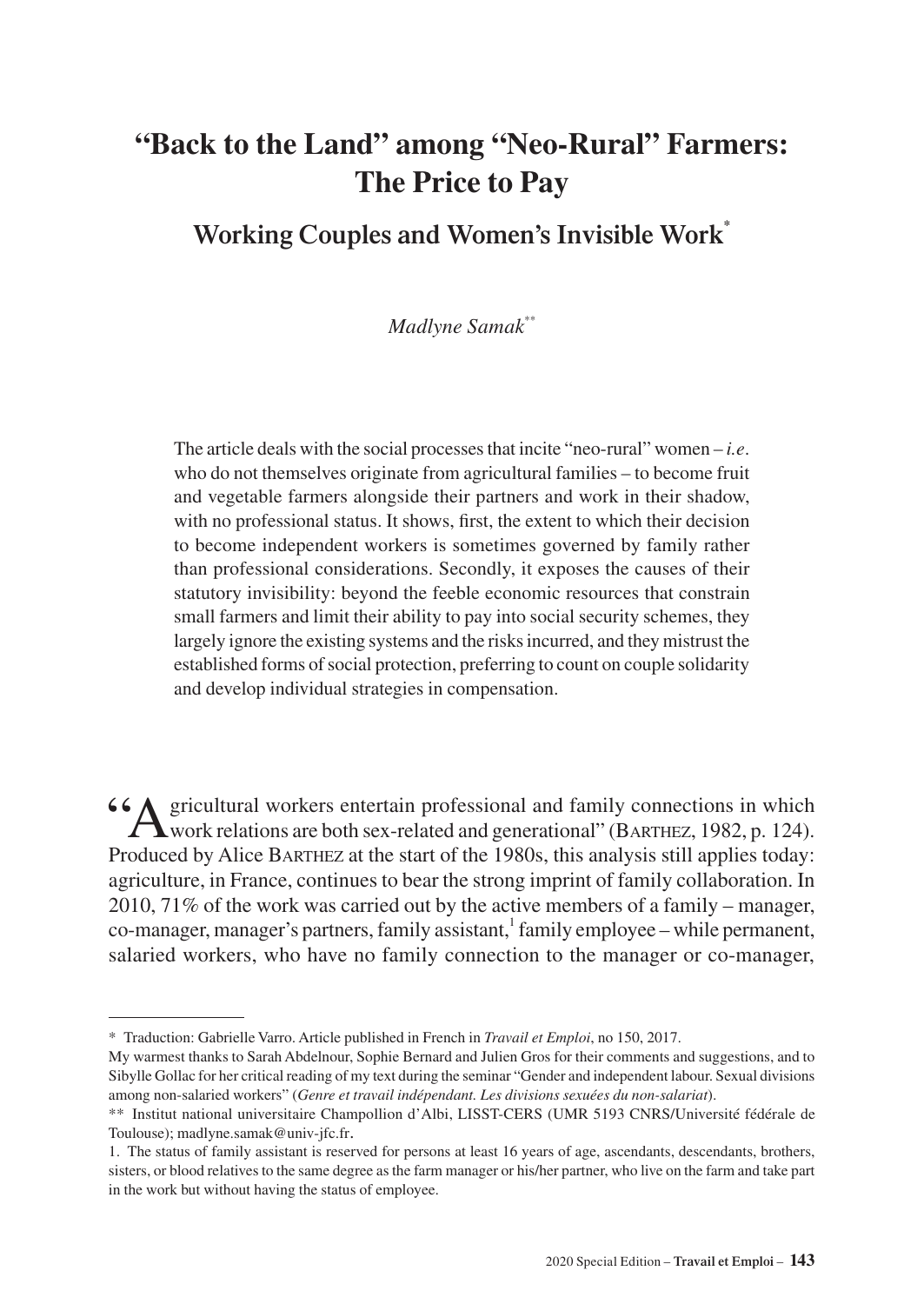# **"Back to the Land" among "Neo-Rural" Farmers: The Price to Pay**

**Working Couples and Women's Invisible Work\***

*Madlyne Samak\*\**

The article deals with the social processes that incite "neo-rural" women – *i.e*. who do not themselves originate from agricultural families – to become fruit and vegetable farmers alongside their partners and work in their shadow, with no professional status. It shows, first, the extent to which their decision to become independent workers is sometimes governed by family rather than professional considerations. Secondly, it exposes the causes of their statutory invisibility: beyond the feeble economic resources that constrain small farmers and limit their ability to pay into social security schemes, they largely ignore the existing systems and the risks incurred, and they mistrust the established forms of social protection, preferring to count on couple solidarity and develop individual strategies in compensation.

"Agricultural workers entertain professional and family connections in which work relations are both sex-related and generational" (Barthez, 1982, p. 124). Produced by Alice BARTHEZ at the start of the 1980s, this analysis still applies today: agriculture, in France, continues to bear the strong imprint of family collaboration. In 2010, 71% of the work was carried out by the active members of a family – manager, co-manager, manager's partners, family assistant,  $\frac{1}{1}$  family employee – while permanent, salaried workers, who have no family connection to the manager or co-manager,

<sup>\*</sup> Traduction: Gabrielle Varro. Article published in French in *Travail et Emploi*, no 150, 2017.

My warmest thanks to Sarah Abdelnour, Sophie Bernard and Julien Gros for their comments and suggestions, and to Sibylle Gollac for her critical reading of my text during the seminar "Gender and independent labour. Sexual divisions among non-salaried workers" (*Genre et travail indépendant. Les divisions sexuées du non-salariat*).

<sup>\*\*</sup> Institut national universitaire Champollion d'Albi, LISST-CERS (UMR 5193 CNRS/Université fédérale de Toulouse); [madlyne.samak@univ-jfc.fr](mailto:madlyne.samak@univ-jfc.fr).

<sup>1.</sup> The status of family assistant is reserved for persons at least 16 years of age, ascendants, descendants, brothers, sisters, or blood relatives to the same degree as the farm manager or his/her partner, who live on the farm and take part in the work but without having the status of employee.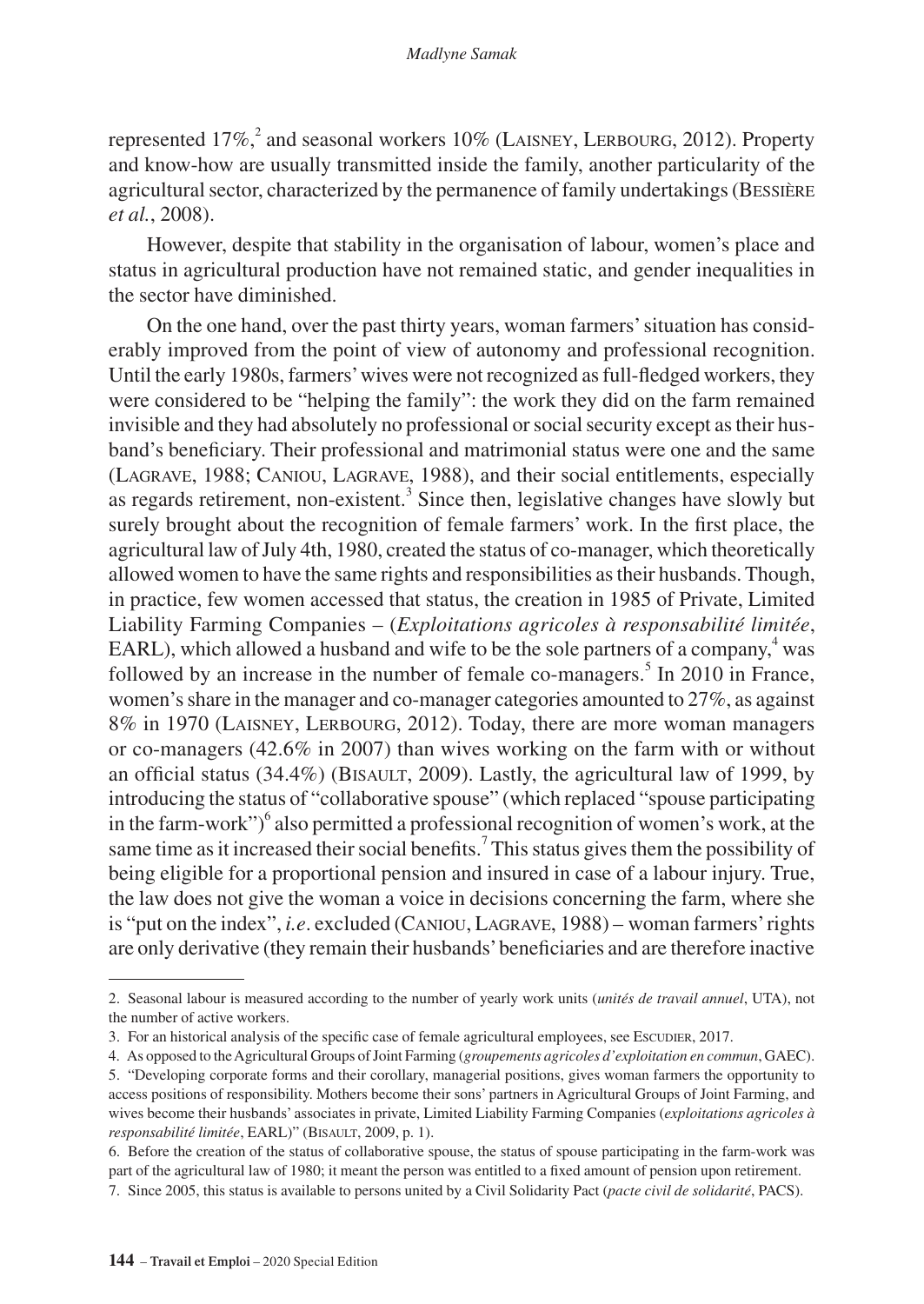represented 17%,<sup>2</sup> and seasonal workers 10% (LAISNEY, LERBOURG, 2012). Property and know-how are usually transmitted inside the family, another particularity of the agricultural sector, characterized by the permanence of family undertakings (Bessière *et al.*, 2008).

However, despite that stability in the organisation of labour, women's place and status in agricultural production have not remained static, and gender inequalities in the sector have diminished.

On the one hand, over the past thirty years, woman farmers' situation has considerably improved from the point of view of autonomy and professional recognition. Until the early 1980s, farmers' wives were not recognized as full-fledged workers, they were considered to be "helping the family": the work they did on the farm remained invisible and they had absolutely no professional or social security except as their husband's beneficiary. Their professional and matrimonial status were one and the same (Lagrave, 1988; Caniou, Lagrave, 1988), and their social entitlements, especially as regards retirement, non-existent.<sup>3</sup> Since then, legislative changes have slowly but surely brought about the recognition of female farmers' work. In the first place, the agricultural law of July 4th, 1980, created the status of co-manager, which theoretically allowed women to have the same rights and responsibilities as their husbands. Though, in practice, few women accessed that status, the creation in 1985 of Private, Limited Liability Farming Companies – (*Exploitations agricoles à responsabilité limitée*, EARL), which allowed a husband and wife to be the sole partners of a company, $4$  was followed by an increase in the number of female co-managers.<sup>5</sup> In 2010 in France, women's share in the manager and co-manager categories amounted to 27%, as against 8% in 1970 (LAISNEY, LERBOURG, 2012). Today, there are more woman managers or co-managers (42.6% in 2007) than wives working on the farm with or without an official status  $(34.4\%)$  (BISAULT, 2009). Lastly, the agricultural law of 1999, by introducing the status of "collaborative spouse" (which replaced "spouse participating in the farm-work") $^6$  also permitted a professional recognition of women's work, at the same time as it increased their social benefits.<sup>7</sup> This status gives them the possibility of being eligible for a proportional pension and insured in case of a labour injury. True, the law does not give the woman a voice in decisions concerning the farm, where she is "put on the index", *i.e*. excluded (Caniou, Lagrave, 1988) – woman farmers' rights are only derivative (they remain their husbands' beneficiaries and are therefore inactive

<sup>2.</sup> Seasonal labour is measured according to the number of yearly work units (*unités de travail annuel*, UTA), not the number of active workers.

<sup>3.</sup> For an historical analysis of the specific case of female agricultural employees, see Escudier, 2017.

<sup>4.</sup> As opposed to the Agricultural Groups of Joint Farming (*groupements agricoles d'exploitation en commun*, GAEC).

<sup>5.</sup> "Developing corporate forms and their corollary, managerial positions, gives woman farmers the opportunity to access positions of responsibility. Mothers become their sons' partners in Agricultural Groups of Joint Farming, and wives become their husbands' associates in private, Limited Liability Farming Companies (*exploitations agricoles à responsabilité limitée*, EARL)" (BISAULT, 2009, p. 1).

<sup>6.</sup> Before the creation of the status of collaborative spouse, the status of spouse participating in the farm-work was part of the agricultural law of 1980; it meant the person was entitled to a fixed amount of pension upon retirement.

<sup>7.</sup> Since 2005, this status is available to persons united by a Civil Solidarity Pact (*pacte civil de solidarité*, PACS).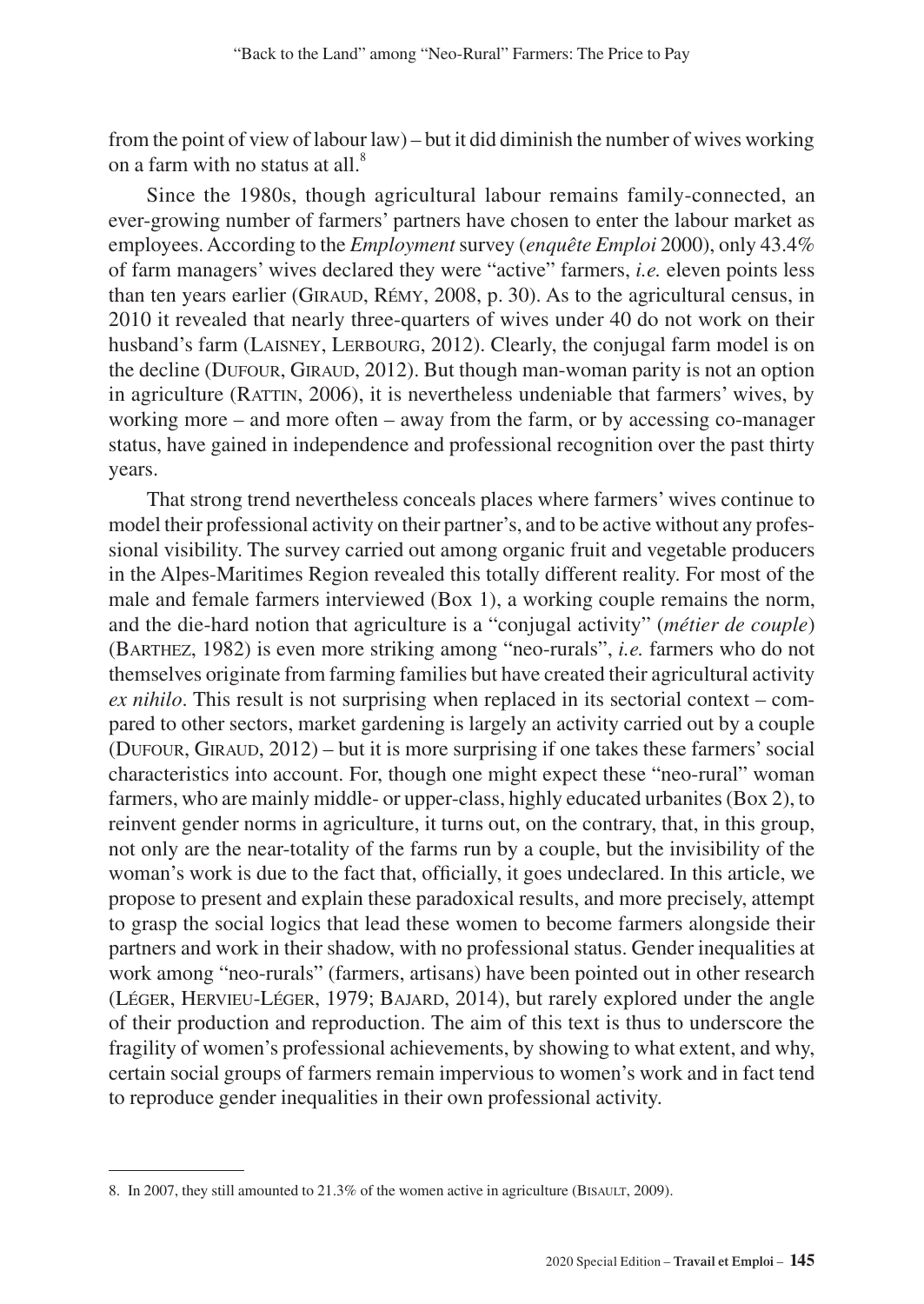from the point of view of labour law) – but it did diminish the number of wives working on a farm with no status at all.<sup>8</sup>

Since the 1980s, though agricultural labour remains family-connected, an ever-growing number of farmers' partners have chosen to enter the labour market as employees. According to the *Employment* survey (*enquête Emploi* 2000), only 43.4% of farm managers' wives declared they were "active" farmers, *i.e.* eleven points less than ten years earlier (GIRAUD, RÉMY, 2008, p. 30). As to the agricultural census, in 2010 it revealed that nearly three-quarters of wives under 40 do not work on their husband's farm (LAISNEY, LERBOURG, 2012). Clearly, the conjugal farm model is on the decline (DUFOUR, GIRAUD, 2012). But though man-woman parity is not an option in agriculture (RATTIN, 2006), it is nevertheless undeniable that farmers' wives, by working more – and more often – away from the farm, or by accessing co-manager status, have gained in independence and professional recognition over the past thirty years.

That strong trend nevertheless conceals places where farmers' wives continue to model their professional activity on their partner's, and to be active without any professional visibility. The survey carried out among organic fruit and vegetable producers in the Alpes-Maritimes Region revealed this totally different reality. For most of the male and female farmers interviewed (Box 1), a working couple remains the norm, and the die-hard notion that agriculture is a "conjugal activity" (*métier de couple*) (Barthez, 1982) is even more striking among "neo-rurals", *i.e.* farmers who do not themselves originate from farming families but have created their agricultural activity *ex nihilo*. This result is not surprising when replaced in its sectorial context – compared to other sectors, market gardening is largely an activity carried out by a couple (Dufour, Giraud, 2012) – but it is more surprising if one takes these farmers' social characteristics into account. For, though one might expect these "neo-rural" woman farmers, who are mainly middle- or upper-class, highly educated urbanites (Box 2), to reinvent gender norms in agriculture, it turns out, on the contrary, that, in this group, not only are the near-totality of the farms run by a couple, but the invisibility of the woman's work is due to the fact that, officially, it goes undeclared. In this article, we propose to present and explain these paradoxical results, and more precisely, attempt to grasp the social logics that lead these women to become farmers alongside their partners and work in their shadow, with no professional status. Gender inequalities at work among "neo-rurals" (farmers, artisans) have been pointed out in other research (Léger, Hervieu-Léger, 1979; Bajard, 2014), but rarely explored under the angle of their production and reproduction. The aim of this text is thus to underscore the fragility of women's professional achievements, by showing to what extent, and why, certain social groups of farmers remain impervious to women's work and in fact tend to reproduce gender inequalities in their own professional activity.

<sup>8.</sup> In 2007, they still amounted to 21.3% of the women active in agriculture (BISAULT, 2009).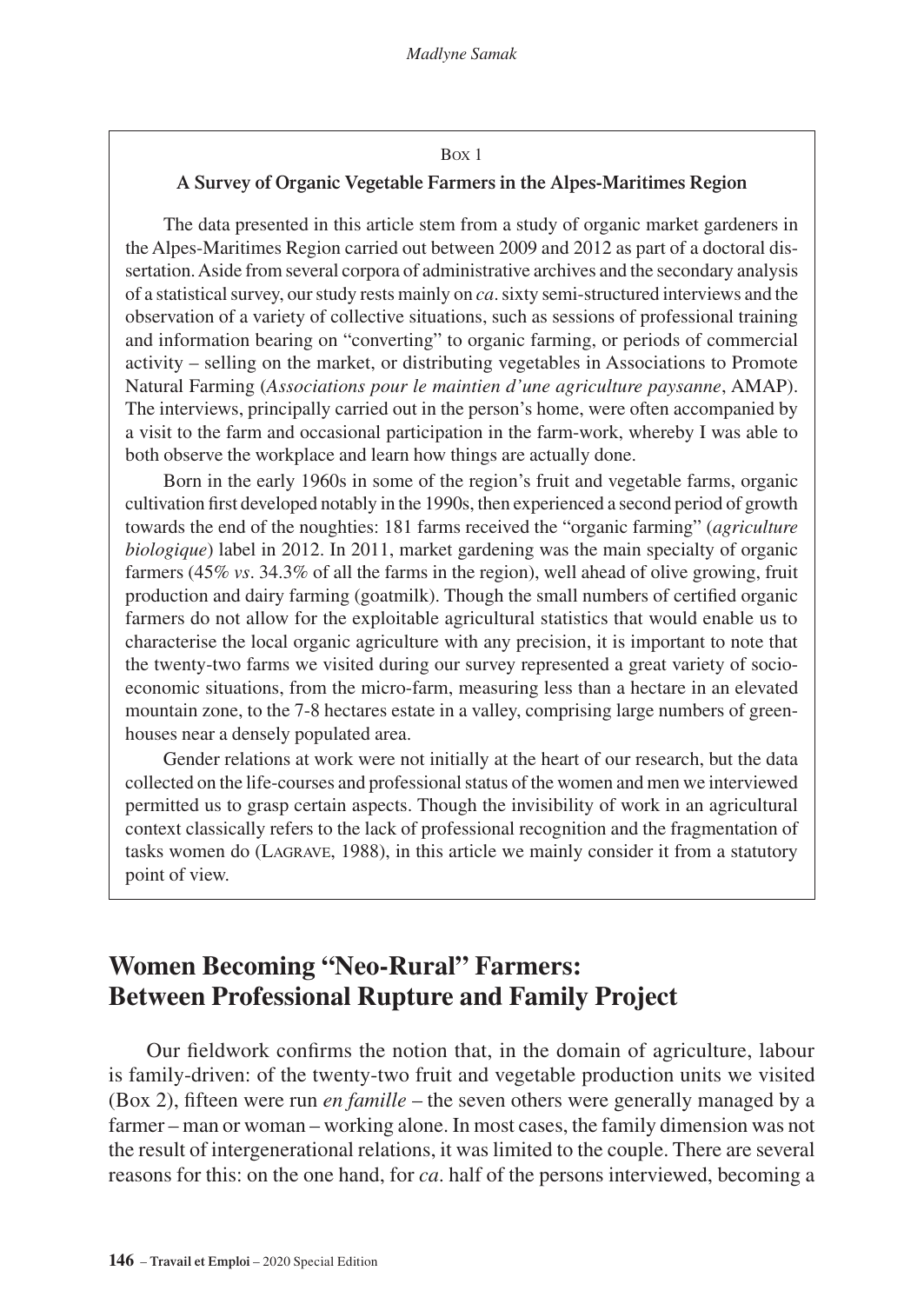#### Box 1

#### **A Survey of Organic Vegetable Farmers in the Alpes-Maritimes Region**

The data presented in this article stem from a study of organic market gardeners in the Alpes-Maritimes Region carried out between 2009 and 2012 as part of a doctoral dissertation. Aside from several corpora of administrative archives and the secondary analysis of a statistical survey, our study rests mainly on *ca*. sixty semi-structured interviews and the observation of a variety of collective situations, such as sessions of professional training and information bearing on "converting" to organic farming, or periods of commercial activity – selling on the market, or distributing vegetables in Associations to Promote Natural Farming (*Associations pour le maintien d'une agriculture paysanne*, AMAP). The interviews, principally carried out in the person's home, were often accompanied by a visit to the farm and occasional participation in the farm-work, whereby I was able to both observe the workplace and learn how things are actually done.

Born in the early 1960s in some of the region's fruit and vegetable farms, organic cultivation first developed notably in the 1990s, then experienced a second period of growth towards the end of the noughties: 181 farms received the "organic farming" (*agriculture biologique*) label in 2012. In 2011, market gardening was the main specialty of organic farmers (45% *vs*. 34.3% of all the farms in the region), well ahead of olive growing, fruit production and dairy farming (goatmilk). Though the small numbers of certified organic farmers do not allow for the exploitable agricultural statistics that would enable us to characterise the local organic agriculture with any precision, it is important to note that the twenty-two farms we visited during our survey represented a great variety of socioeconomic situations, from the micro-farm, measuring less than a hectare in an elevated mountain zone, to the 7-8 hectares estate in a valley, comprising large numbers of greenhouses near a densely populated area.

Gender relations at work were not initially at the heart of our research, but the data collected on the life-courses and professional status of the women and men we interviewed permitted us to grasp certain aspects. Though the invisibility of work in an agricultural context classically refers to the lack of professional recognition and the fragmentation of tasks women do (Lagrave, 1988), in this article we mainly consider it from a statutory point of view.

# **Women Becoming "Neo-Rural" Farmers: Between Professional Rupture and Family Project**

Our fieldwork confirms the notion that, in the domain of agriculture, labour is family-driven: of the twenty-two fruit and vegetable production units we visited (Box 2), fifteen were run *en famille* – the seven others were generally managed by a farmer – man or woman – working alone. In most cases, the family dimension was not the result of intergenerational relations, it was limited to the couple. There are several reasons for this: on the one hand, for *ca*. half of the persons interviewed, becoming a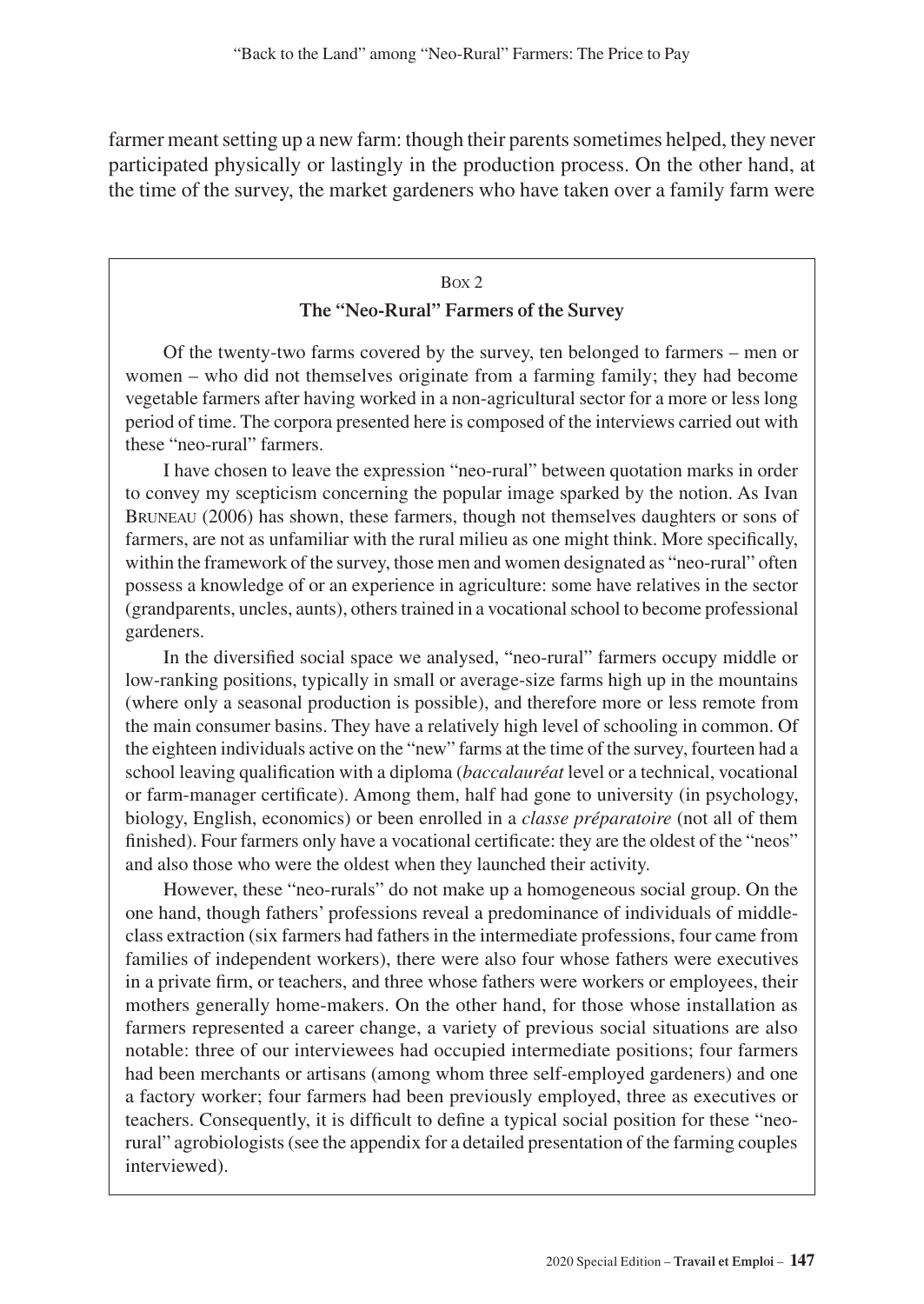farmer meant setting up a new farm: though their parents sometimes helped, they never participated physically or lastingly in the production process. On the other hand, at the time of the survey, the market gardeners who have taken over a family farm were

## Box 2 **The "Neo-Rural" Farmers of the Survey**

Of the twenty-two farms covered by the survey, ten belonged to farmers – men or women – who did not themselves originate from a farming family; they had become vegetable farmers after having worked in a non-agricultural sector for a more or less long period of time. The corpora presented here is composed of the interviews carried out with these "neo-rural" farmers.

I have chosen to leave the expression "neo-rural" between quotation marks in order to convey my scepticism concerning the popular image sparked by the notion. As Ivan Bruneau (2006) has shown, these farmers, though not themselves daughters or sons of farmers, are not as unfamiliar with the rural milieu as one might think. More specifically, within the framework of the survey, those men and women designated as "neo-rural" often possess a knowledge of or an experience in agriculture: some have relatives in the sector (grandparents, uncles, aunts), others trained in a vocational school to become professional gardeners.

In the diversified social space we analysed, "neo-rural" farmers occupy middle or low-ranking positions, typically in small or average-size farms high up in the mountains (where only a seasonal production is possible), and therefore more or less remote from the main consumer basins. They have a relatively high level of schooling in common. Of the eighteen individuals active on the "new" farms at the time of the survey, fourteen had a school leaving qualification with a diploma (*baccalauréat* level or a technical, vocational or farm-manager certificate). Among them, half had gone to university (in psychology, biology, English, economics) or been enrolled in a *classe préparatoire* (not all of them finished). Four farmers only have a vocational certificate: they are the oldest of the "neos" and also those who were the oldest when they launched their activity.

However, these "neo-rurals" do not make up a homogeneous social group. On the one hand, though fathers' professions reveal a predominance of individuals of middleclass extraction (six farmers had fathers in the intermediate professions, four came from families of independent workers), there were also four whose fathers were executives in a private firm, or teachers, and three whose fathers were workers or employees, their mothers generally home-makers. On the other hand, for those whose installation as farmers represented a career change, a variety of previous social situations are also notable: three of our interviewees had occupied intermediate positions; four farmers had been merchants or artisans (among whom three self-employed gardeners) and one a factory worker; four farmers had been previously employed, three as executives or teachers. Consequently, it is difficult to define a typical social position for these "neorural" agrobiologists (see the appendix for a detailed presentation of the farming couples interviewed).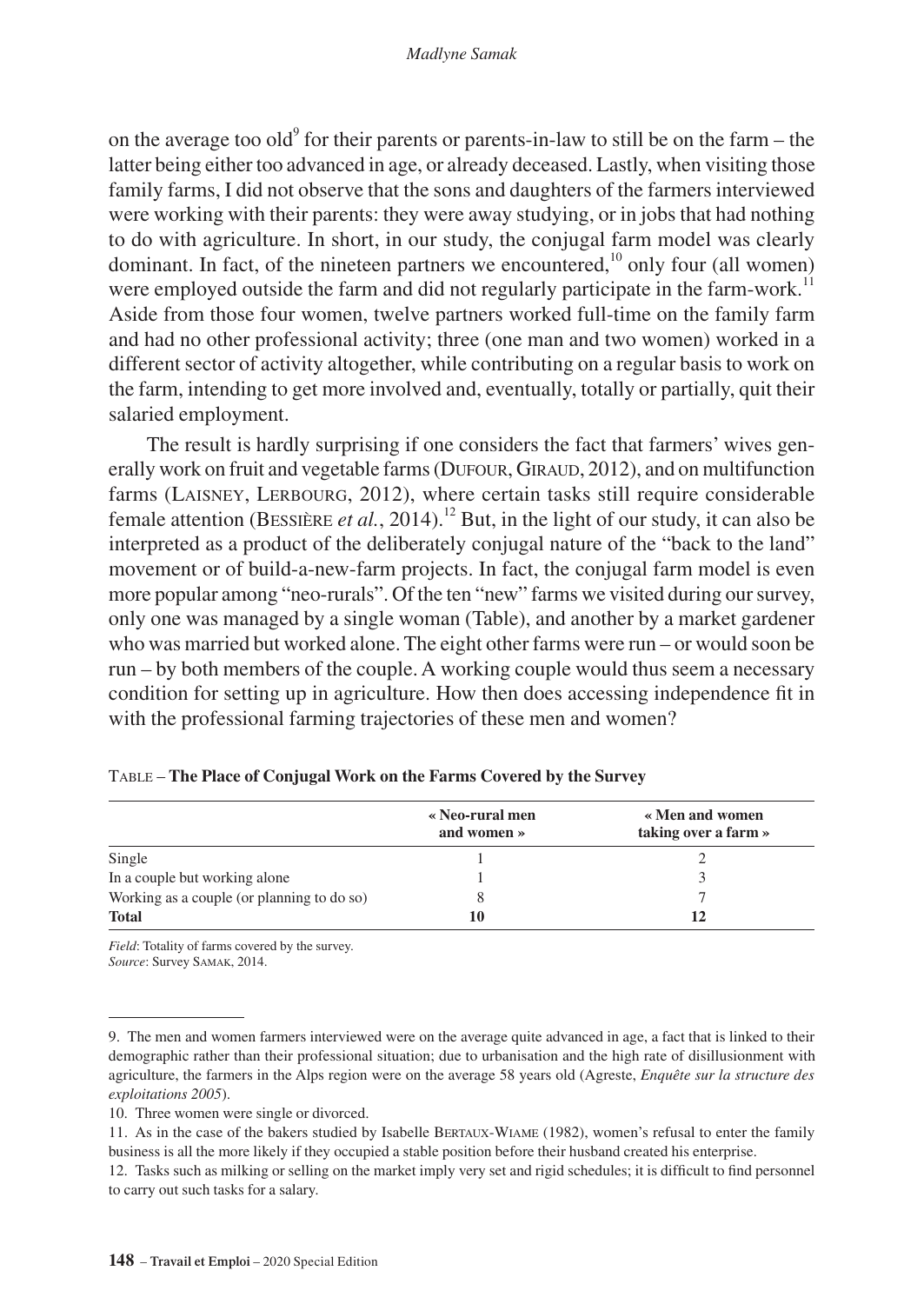on the average too old<sup>9</sup> for their parents or parents-in-law to still be on the farm – the latter being either too advanced in age, or already deceased. Lastly, when visiting those family farms, I did not observe that the sons and daughters of the farmers interviewed were working with their parents: they were away studying, or in jobs that had nothing to do with agriculture. In short, in our study, the conjugal farm model was clearly dominant. In fact, of the nineteen partners we encountered, $^{10}$  only four (all women) were employed outside the farm and did not regularly participate in the farm-work.<sup>11</sup> Aside from those four women, twelve partners worked full-time on the family farm and had no other professional activity; three (one man and two women) worked in a different sector of activity altogether, while contributing on a regular basis to work on the farm, intending to get more involved and, eventually, totally or partially, quit their salaried employment.

The result is hardly surprising if one considers the fact that farmers' wives generally work on fruit and vegetable farms (DUFOUR, GIRAUD, 2012), and on multifunction farms (LAISNEY, LERBOURG, 2012), where certain tasks still require considerable female attention (BESSIÈRE *et al.*, 2014).<sup>12</sup> But, in the light of our study, it can also be interpreted as a product of the deliberately conjugal nature of the "back to the land" movement or of build-a-new-farm projects. In fact, the conjugal farm model is even more popular among "neo-rurals". Of the ten "new" farms we visited during our survey, only one was managed by a single woman (Table), and another by a market gardener who was married but worked alone. The eight other farms were run – or would soon be run – by both members of the couple. A working couple would thus seem a necessary condition for setting up in agriculture. How then does accessing independence fit in with the professional farming trajectories of these men and women?

|                                            | « Neo-rural men<br>and women » | « Men and women<br>taking over a farm » |
|--------------------------------------------|--------------------------------|-----------------------------------------|
| Single                                     |                                |                                         |
| In a couple but working alone              |                                |                                         |
| Working as a couple (or planning to do so) |                                |                                         |
| <b>Total</b>                               |                                | 12                                      |

|  |  | TABLE - The Place of Conjugal Work on the Farms Covered by the Survey |  |  |
|--|--|-----------------------------------------------------------------------|--|--|
|--|--|-----------------------------------------------------------------------|--|--|

*Field*: Totality of farms covered by the survey. *Source*: Survey Samak, 2014.

<sup>9.</sup> The men and women farmers interviewed were on the average quite advanced in age, a fact that is linked to their demographic rather than their professional situation; due to urbanisation and the high rate of disillusionment with agriculture, the farmers in the Alps region were on the average 58 years old (Agreste, *Enquête sur la structure des exploitations 2005*).

<sup>10.</sup> Three women were single or divorced.

<sup>11.</sup> As in the case of the bakers studied by Isabelle Bertaux-Wiame (1982), women's refusal to enter the family business is all the more likely if they occupied a stable position before their husband created his enterprise.

<sup>12.</sup> Tasks such as milking or selling on the market imply very set and rigid schedules; it is difficult to find personnel to carry out such tasks for a salary.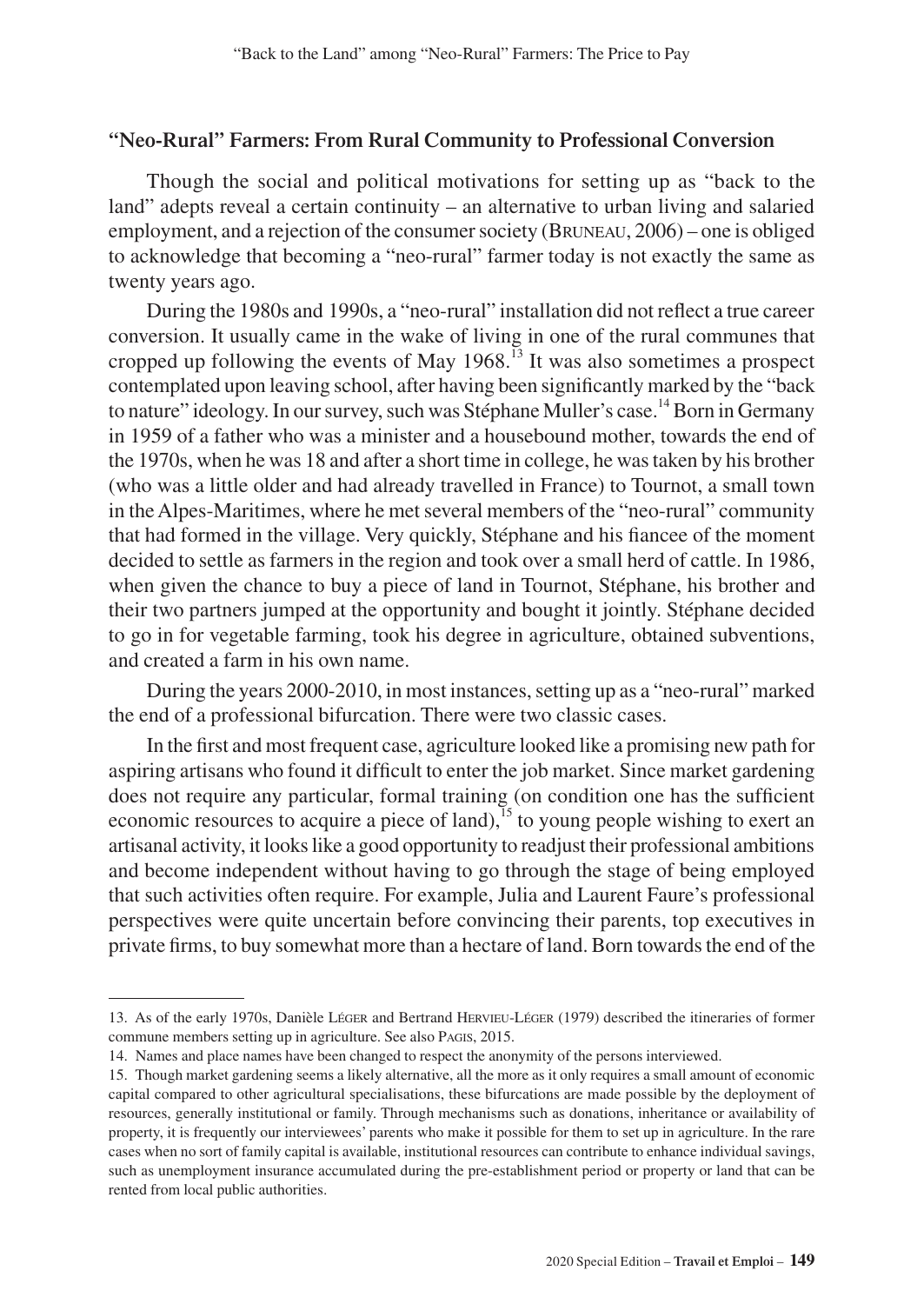### **"Neo-Rural" Farmers: From Rural Community to Professional Conversion**

Though the social and political motivations for setting up as "back to the land" adepts reveal a certain continuity – an alternative to urban living and salaried employment, and a rejection of the consumer society (Bruneau, 2006) – one is obliged to acknowledge that becoming a "neo-rural" farmer today is not exactly the same as twenty years ago.

During the 1980s and 1990s, a "neo-rural" installation did not reflect a true career conversion. It usually came in the wake of living in one of the rural communes that cropped up following the events of May 1968.<sup>13</sup> It was also sometimes a prospect contemplated upon leaving school, after having been significantly marked by the "back to nature" ideology. In our survey, such was Stéphane Muller's case.<sup>14</sup> Born in Germany in 1959 of a father who was a minister and a housebound mother, towards the end of the 1970s, when he was 18 and after a short time in college, he was taken by his brother (who was a little older and had already travelled in France) to Tournot, a small town in the Alpes-Maritimes, where he met several members of the "neo-rural" community that had formed in the village. Very quickly, Stéphane and his fiancee of the moment decided to settle as farmers in the region and took over a small herd of cattle. In 1986, when given the chance to buy a piece of land in Tournot, Stéphane, his brother and their two partners jumped at the opportunity and bought it jointly. Stéphane decided to go in for vegetable farming, took his degree in agriculture, obtained subventions, and created a farm in his own name.

During the years 2000-2010, in most instances, setting up as a "neo-rural" marked the end of a professional bifurcation. There were two classic cases.

In the first and most frequent case, agriculture looked like a promising new path for aspiring artisans who found it difficult to enter the job market. Since market gardening does not require any particular, formal training (on condition one has the sufficient economic resources to acquire a piece of land),  $^{15}$  to young people wishing to exert an artisanal activity, it looks like a good opportunity to readjust their professional ambitions and become independent without having to go through the stage of being employed that such activities often require. For example, Julia and Laurent Faure's professional perspectives were quite uncertain before convincing their parents, top executives in private firms, to buy somewhat more than a hectare of land. Born towards the end of the

<sup>13.</sup> As of the early 1970s, Danièle Léger and Bertrand Hervieu-Léger (1979) described the itineraries of former commune members setting up in agriculture. See also Pagis, 2015.

<sup>14.</sup> Names and place names have been changed to respect the anonymity of the persons interviewed.

<sup>15.</sup> Though market gardening seems a likely alternative, all the more as it only requires a small amount of economic capital compared to other agricultural specialisations, these bifurcations are made possible by the deployment of resources, generally institutional or family. Through mechanisms such as donations, inheritance or availability of property, it is frequently our interviewees' parents who make it possible for them to set up in agriculture. In the rare cases when no sort of family capital is available, institutional resources can contribute to enhance individual savings, such as unemployment insurance accumulated during the pre-establishment period or property or land that can be rented from local public authorities.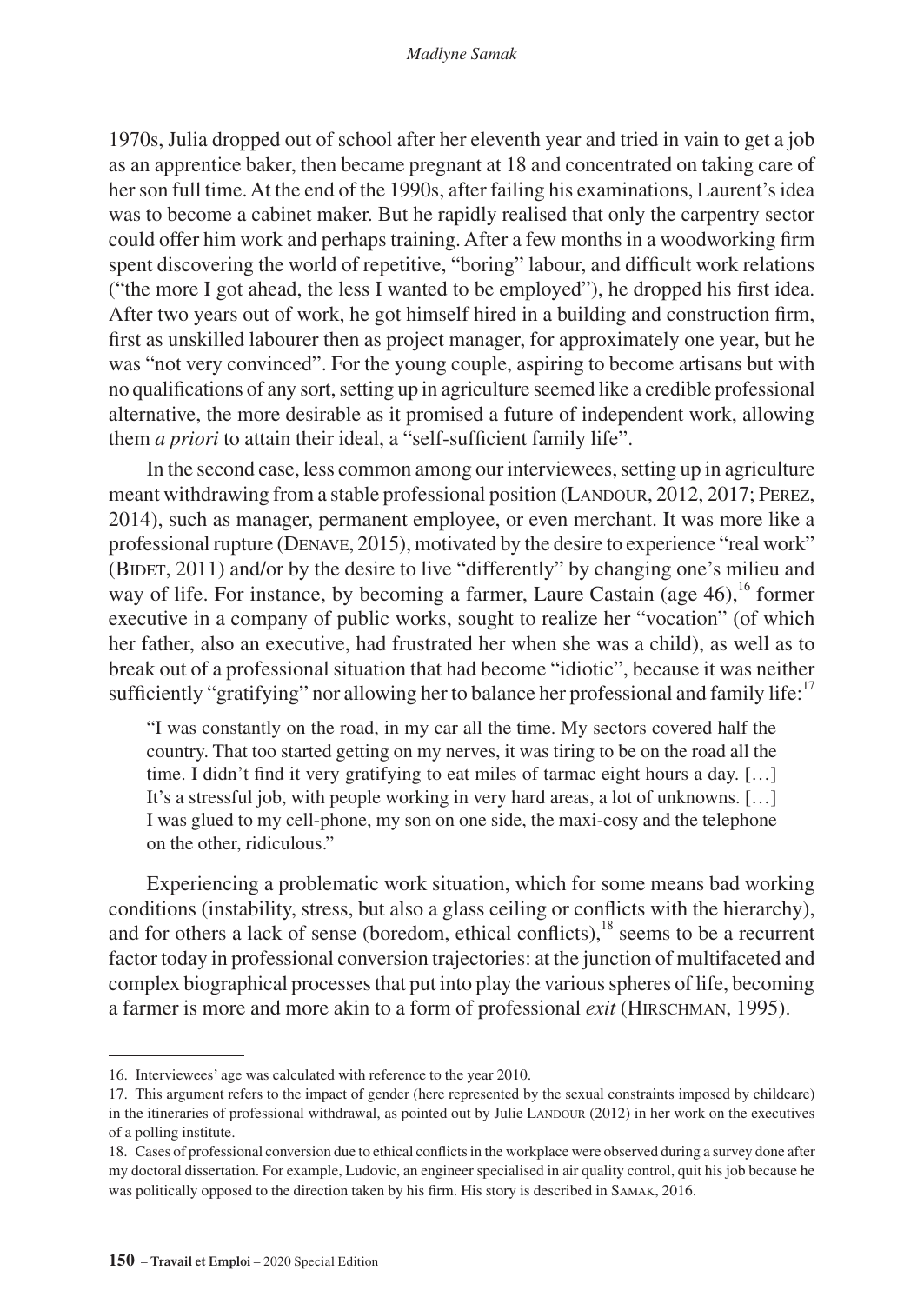1970s, Julia dropped out of school after her eleventh year and tried in vain to get a job as an apprentice baker, then became pregnant at 18 and concentrated on taking care of her son full time. At the end of the 1990s, after failing his examinations, Laurent's idea was to become a cabinet maker. But he rapidly realised that only the carpentry sector could offer him work and perhaps training. After a few months in a woodworking firm spent discovering the world of repetitive, "boring" labour, and difficult work relations ("the more I got ahead, the less I wanted to be employed"), he dropped his first idea. After two years out of work, he got himself hired in a building and construction firm, first as unskilled labourer then as project manager, for approximately one year, but he was "not very convinced". For the young couple, aspiring to become artisans but with no qualifications of any sort, setting up in agriculture seemed like a credible professional alternative, the more desirable as it promised a future of independent work, allowing them *a priori* to attain their ideal, a "self-sufficient family life".

In the second case, less common among our interviewees, setting up in agriculture meant withdrawing from a stable professional position (LANDOUR, 2012, 2017; PEREZ, 2014), such as manager, permanent employee, or even merchant. It was more like a professional rupture (Denave, 2015), motivated by the desire to experience "real work"  $(BIDET, 2011)$  and/or by the desire to live "differently" by changing one's milieu and way of life. For instance, by becoming a farmer, Laure Castain (age 46),<sup>16</sup> former executive in a company of public works, sought to realize her "vocation" (of which her father, also an executive, had frustrated her when she was a child), as well as to break out of a professional situation that had become "idiotic", because it was neither sufficiently "gratifying" nor allowing her to balance her professional and family life:<sup>17</sup>

"I was constantly on the road, in my car all the time. My sectors covered half the country. That too started getting on my nerves, it was tiring to be on the road all the time. I didn't find it very gratifying to eat miles of tarmac eight hours a day. […] It's a stressful job, with people working in very hard areas, a lot of unknowns. […] I was glued to my cell-phone, my son on one side, the maxi-cosy and the telephone on the other, ridiculous."

Experiencing a problematic work situation, which for some means bad working conditions (instability, stress, but also a glass ceiling or conflicts with the hierarchy), and for others a lack of sense (boredom, ethical conflicts), $18$  seems to be a recurrent factor today in professional conversion trajectories: at the junction of multifaceted and complex biographical processes that put into play the various spheres of life, becoming a farmer is more and more akin to a form of professional *exit* (HIRSCHMAN, 1995).

<sup>16.</sup> Interviewees' age was calculated with reference to the year 2010.

<sup>17.</sup> This argument refers to the impact of gender (here represented by the sexual constraints imposed by childcare) in the itineraries of professional withdrawal, as pointed out by Julie LANDOUR (2012) in her work on the executives of a polling institute.

<sup>18.</sup> Cases of professional conversion due to ethical conflicts in the workplace were observed during a survey done after my doctoral dissertation. For example, Ludovic, an engineer specialised in air quality control, quit his job because he was politically opposed to the direction taken by his firm. His story is described in Samak, 2016.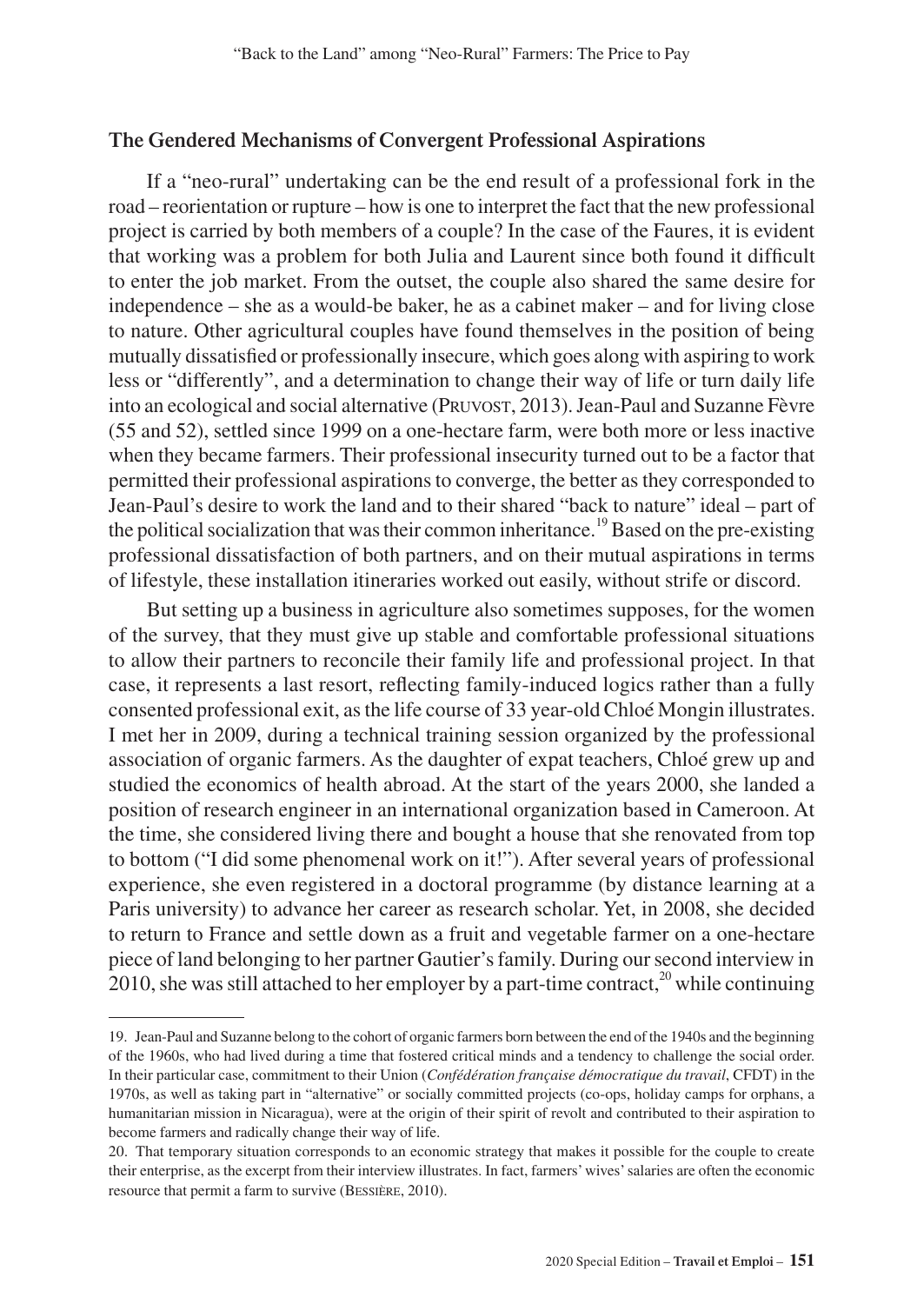#### **The Gendered Mechanisms of Convergent Professional Aspirations**

If a "neo-rural" undertaking can be the end result of a professional fork in the road – reorientation or rupture – how is one to interpret the fact that the new professional project is carried by both members of a couple? In the case of the Faures, it is evident that working was a problem for both Julia and Laurent since both found it difficult to enter the job market. From the outset, the couple also shared the same desire for independence – she as a would-be baker, he as a cabinet maker – and for living close to nature. Other agricultural couples have found themselves in the position of being mutually dissatisfied or professionally insecure, which goes along with aspiring to work less or "differently", and a determination to change their way of life or turn daily life into an ecological and social alternative (PRUVOST, 2013). Jean-Paul and Suzanne Fèvre (55 and 52), settled since 1999 on a one-hectare farm, were both more or less inactive when they became farmers. Their professional insecurity turned out to be a factor that permitted their professional aspirations to converge, the better as they corresponded to Jean-Paul's desire to work the land and to their shared "back to nature" ideal – part of the political socialization that was their common inheritance.<sup>19</sup> Based on the pre-existing professional dissatisfaction of both partners, and on their mutual aspirations in terms of lifestyle, these installation itineraries worked out easily, without strife or discord.

But setting up a business in agriculture also sometimes supposes, for the women of the survey, that they must give up stable and comfortable professional situations to allow their partners to reconcile their family life and professional project. In that case, it represents a last resort, reflecting family-induced logics rather than a fully consented professional exit, as the life course of 33 year-old Chloé Mongin illustrates. I met her in 2009, during a technical training session organized by the professional association of organic farmers. As the daughter of expat teachers, Chloé grew up and studied the economics of health abroad. At the start of the years 2000, she landed a position of research engineer in an international organization based in Cameroon. At the time, she considered living there and bought a house that she renovated from top to bottom ("I did some phenomenal work on it!"). After several years of professional experience, she even registered in a doctoral programme (by distance learning at a Paris university) to advance her career as research scholar. Yet, in 2008, she decided to return to France and settle down as a fruit and vegetable farmer on a one-hectare piece of land belonging to her partner Gautier's family. During our second interview in 2010, she was still attached to her employer by a part-time contract, $^{20}$  while continuing

<sup>19.</sup> Jean-Paul and Suzanne belong to the cohort of organic farmers born between the end of the 1940s and the beginning of the 1960s, who had lived during a time that fostered critical minds and a tendency to challenge the social order. In their particular case, commitment to their Union (*Confédération française démocratique du travail*, CFDT) in the 1970s, as well as taking part in "alternative" or socially committed projects (co-ops, holiday camps for orphans, a humanitarian mission in Nicaragua), were at the origin of their spirit of revolt and contributed to their aspiration to become farmers and radically change their way of life.

<sup>20.</sup> That temporary situation corresponds to an economic strategy that makes it possible for the couple to create their enterprise, as the excerpt from their interview illustrates. In fact, farmers' wives' salaries are often the economic resource that permit a farm to survive (BESSIÈRE, 2010).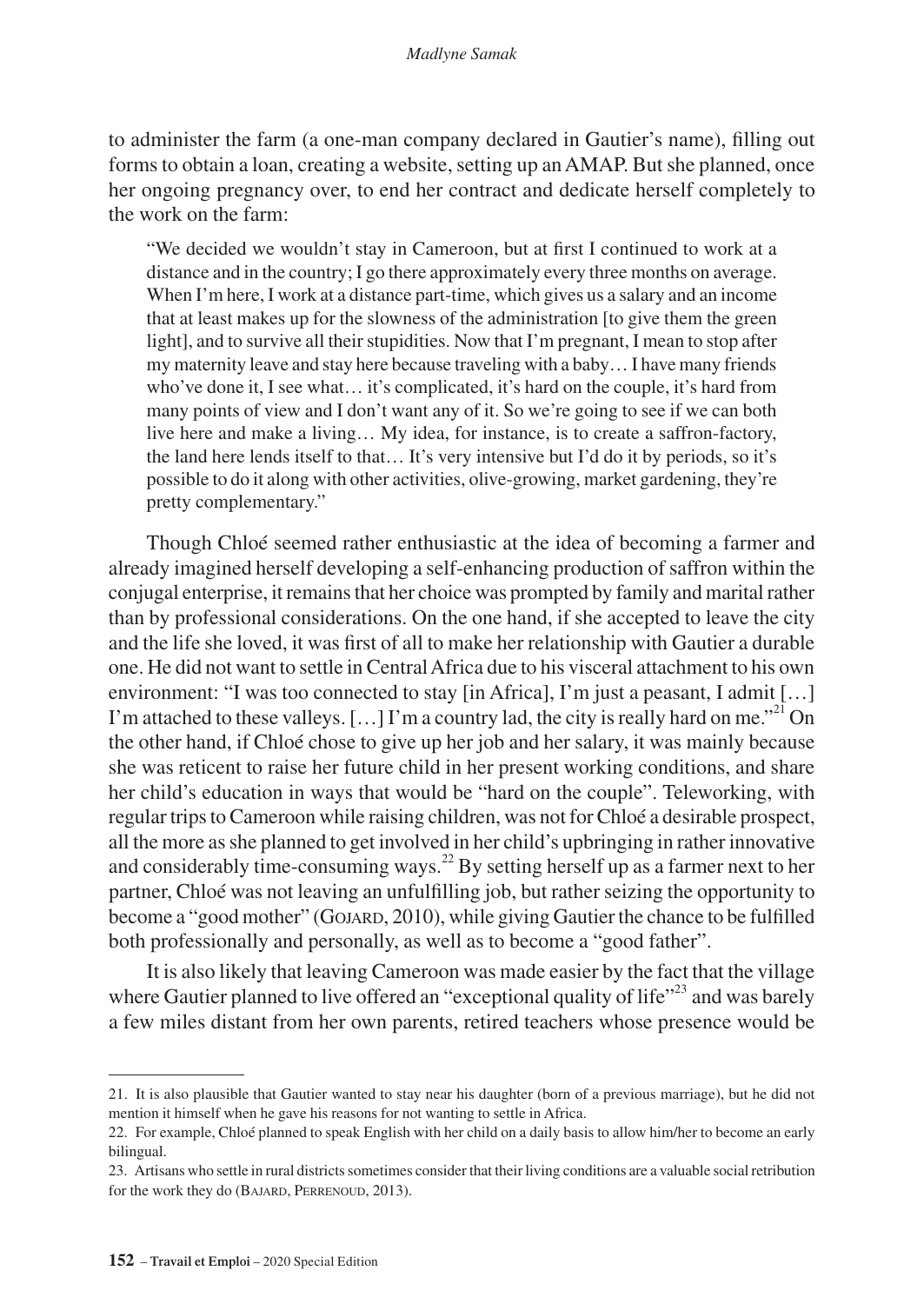to administer the farm (a one-man company declared in Gautier's name), filling out forms to obtain a loan, creating a website, setting up an AMAP. But she planned, once her ongoing pregnancy over, to end her contract and dedicate herself completely to the work on the farm:

"We decided we wouldn't stay in Cameroon, but at first I continued to work at a distance and in the country; I go there approximately every three months on average. When I'm here, I work at a distance part-time, which gives us a salary and an income that at least makes up for the slowness of the administration [to give them the green light], and to survive all their stupidities. Now that I'm pregnant, I mean to stop after my maternity leave and stay here because traveling with a baby… I have many friends who've done it, I see what… it's complicated, it's hard on the couple, it's hard from many points of view and I don't want any of it. So we're going to see if we can both live here and make a living… My idea, for instance, is to create a saffron-factory, the land here lends itself to that… It's very intensive but I'd do it by periods, so it's possible to do it along with other activities, olive-growing, market gardening, they're pretty complementary."

Though Chloé seemed rather enthusiastic at the idea of becoming a farmer and already imagined herself developing a self-enhancing production of saffron within the conjugal enterprise, it remains that her choice was prompted by family and marital rather than by professional considerations. On the one hand, if she accepted to leave the city and the life she loved, it was first of all to make her relationship with Gautier a durable one. He did not want to settle in Central Africa due to his visceral attachment to his own environment: "I was too connected to stay [in Africa], I'm just a peasant, I admit […] I'm attached to these valleys. [...] I'm a country lad, the city is really hard on me.<sup>221</sup> On the other hand, if Chloé chose to give up her job and her salary, it was mainly because she was reticent to raise her future child in her present working conditions, and share her child's education in ways that would be "hard on the couple". Teleworking, with regular trips to Cameroon while raising children, was not for Chloé a desirable prospect, all the more as she planned to get involved in her child's upbringing in rather innovative and considerably time-consuming ways.<sup>22</sup> By setting herself up as a farmer next to her partner, Chloé was not leaving an unfulfilling job, but rather seizing the opportunity to become a "good mother" (GOJARD, 2010), while giving Gautier the chance to be fulfilled both professionally and personally, as well as to become a "good father".

It is also likely that leaving Cameroon was made easier by the fact that the village where Gautier planned to live offered an "exceptional quality of life"<sup>23</sup> and was barely a few miles distant from her own parents, retired teachers whose presence would be

<sup>21.</sup> It is also plausible that Gautier wanted to stay near his daughter (born of a previous marriage), but he did not mention it himself when he gave his reasons for not wanting to settle in Africa.

<sup>22.</sup> For example, Chloé planned to speak English with her child on a daily basis to allow him/her to become an early bilingual.

<sup>23.</sup> Artisans who settle in rural districts sometimes consider that their living conditions are a valuable social retribution for the work they do (BAJARD, PERRENOUD, 2013).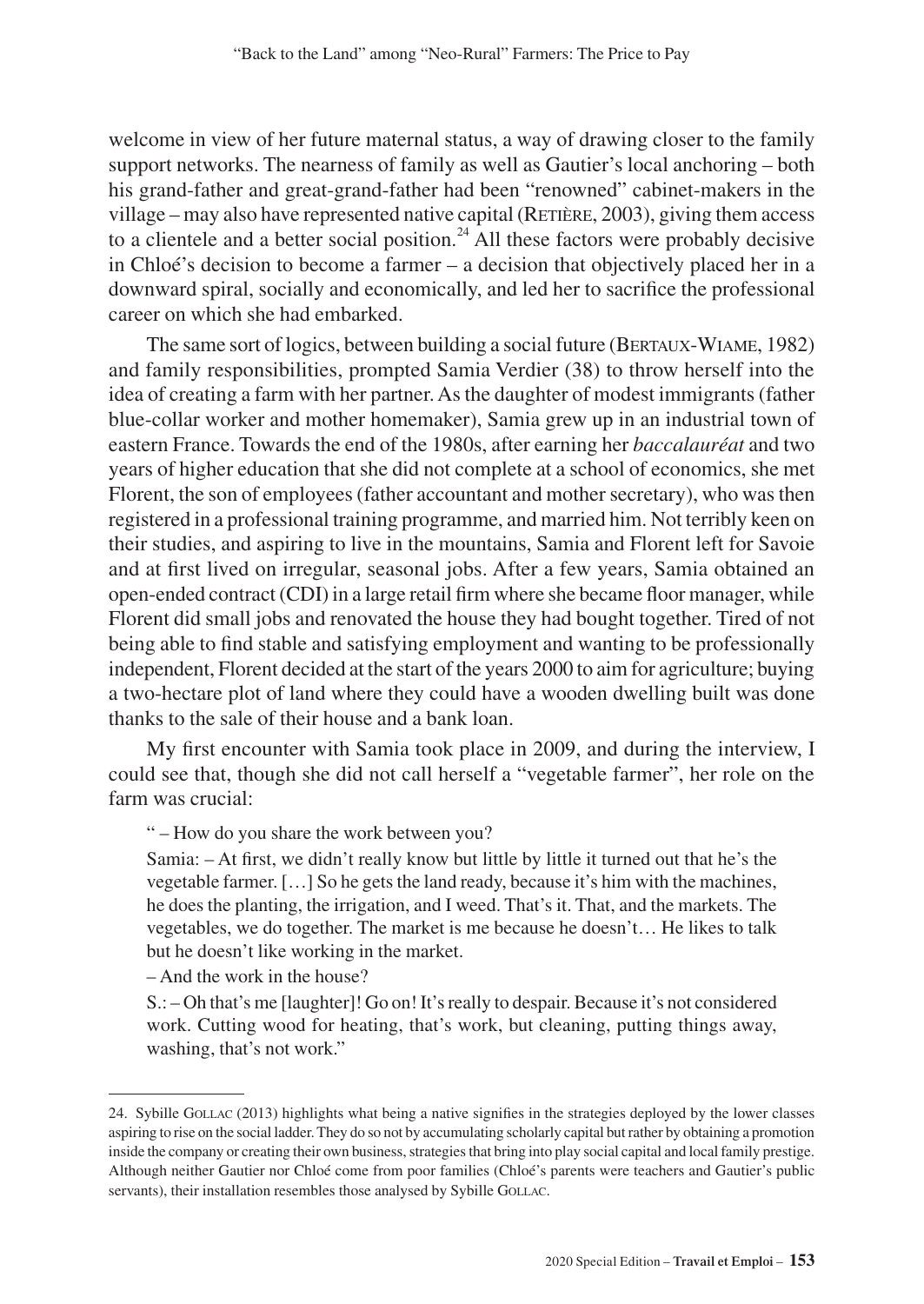welcome in view of her future maternal status, a way of drawing closer to the family support networks. The nearness of family as well as Gautier's local anchoring – both his grand-father and great-grand-father had been "renowned" cabinet-makers in the village – may also have represented native capital (RETIÈRE,  $2003$ ), giving them access to a clientele and a better social position.<sup>24</sup> All these factors were probably decisive in Chloé's decision to become a farmer – a decision that objectively placed her in a downward spiral, socially and economically, and led her to sacrifice the professional career on which she had embarked.

The same sort of logics, between building a social future (Bertaux-Wiame, 1982) and family responsibilities, prompted Samia Verdier (38) to throw herself into the idea of creating a farm with her partner. As the daughter of modest immigrants (father blue-collar worker and mother homemaker), Samia grew up in an industrial town of eastern France. Towards the end of the 1980s, after earning her *baccalauréat* and two years of higher education that she did not complete at a school of economics, she met Florent, the son of employees (father accountant and mother secretary), who was then registered in a professional training programme, and married him. Not terribly keen on their studies, and aspiring to live in the mountains, Samia and Florent left for Savoie and at first lived on irregular, seasonal jobs. After a few years, Samia obtained an open-ended contract (CDI) in a large retail firm where she became floor manager, while Florent did small jobs and renovated the house they had bought together. Tired of not being able to find stable and satisfying employment and wanting to be professionally independent, Florent decided at the start of the years 2000 to aim for agriculture; buying a two-hectare plot of land where they could have a wooden dwelling built was done thanks to the sale of their house and a bank loan.

My first encounter with Samia took place in 2009, and during the interview, I could see that, though she did not call herself a "vegetable farmer", her role on the farm was crucial:

" – How do you share the work between you?

Samia: – At first, we didn't really know but little by little it turned out that he's the vegetable farmer. […] So he gets the land ready, because it's him with the machines, he does the planting, the irrigation, and I weed. That's it. That, and the markets. The vegetables, we do together. The market is me because he doesn't… He likes to talk but he doesn't like working in the market.

– And the work in the house?

S.: – Oh that's me [laughter]! Go on! It's really to despair. Because it's not considered work. Cutting wood for heating, that's work, but cleaning, putting things away, washing, that's not work."

<sup>24.</sup> Sybille Gollac (2013) highlights what being a native signifies in the strategies deployed by the lower classes aspiring to rise on the social ladder. They do so not by accumulating scholarly capital but rather by obtaining a promotion inside the company or creating their own business, strategies that bring into play social capital and local family prestige. Although neither Gautier nor Chloé come from poor families (Chloé's parents were teachers and Gautier's public servants), their installation resembles those analysed by Sybille GOLLAC.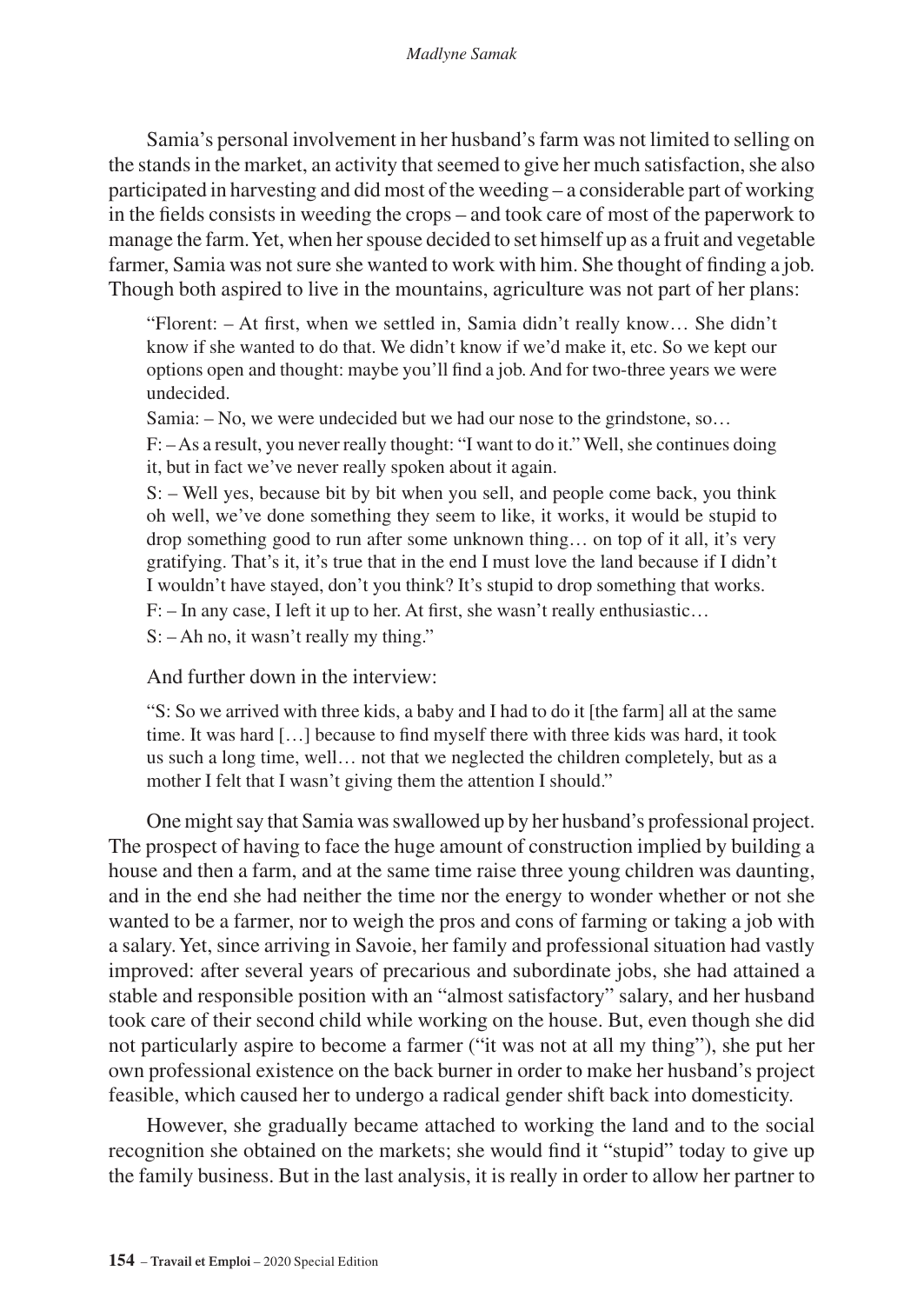Samia's personal involvement in her husband's farm was not limited to selling on the stands in the market, an activity that seemed to give her much satisfaction, she also participated in harvesting and did most of the weeding – a considerable part of working in the fields consists in weeding the crops – and took care of most of the paperwork to manage the farm. Yet, when her spouse decided to set himself up as a fruit and vegetable farmer, Samia was not sure she wanted to work with him. She thought of finding a job. Though both aspired to live in the mountains, agriculture was not part of her plans:

"Florent: – At first, when we settled in, Samia didn't really know… She didn't know if she wanted to do that. We didn't know if we'd make it, etc. So we kept our options open and thought: maybe you'll find a job. And for two-three years we were undecided.

Samia: – No, we were undecided but we had our nose to the grindstone, so…

F: – As a result, you never really thought: "I want to do it." Well, she continues doing it, but in fact we've never really spoken about it again.

S: – Well yes, because bit by bit when you sell, and people come back, you think oh well, we've done something they seem to like, it works, it would be stupid to drop something good to run after some unknown thing… on top of it all, it's very gratifying. That's it, it's true that in the end I must love the land because if I didn't I wouldn't have stayed, don't you think? It's stupid to drop something that works.

F: – In any case, I left it up to her. At first, she wasn't really enthusiastic…

S: – Ah no, it wasn't really my thing."

And further down in the interview:

"S: So we arrived with three kids, a baby and I had to do it [the farm] all at the same time. It was hard […] because to find myself there with three kids was hard, it took us such a long time, well… not that we neglected the children completely, but as a mother I felt that I wasn't giving them the attention I should."

One might say that Samia was swallowed up by her husband's professional project. The prospect of having to face the huge amount of construction implied by building a house and then a farm, and at the same time raise three young children was daunting, and in the end she had neither the time nor the energy to wonder whether or not she wanted to be a farmer, nor to weigh the pros and cons of farming or taking a job with a salary. Yet, since arriving in Savoie, her family and professional situation had vastly improved: after several years of precarious and subordinate jobs, she had attained a stable and responsible position with an "almost satisfactory" salary, and her husband took care of their second child while working on the house. But, even though she did not particularly aspire to become a farmer ("it was not at all my thing"), she put her own professional existence on the back burner in order to make her husband's project feasible, which caused her to undergo a radical gender shift back into domesticity.

However, she gradually became attached to working the land and to the social recognition she obtained on the markets; she would find it "stupid" today to give up the family business. But in the last analysis, it is really in order to allow her partner to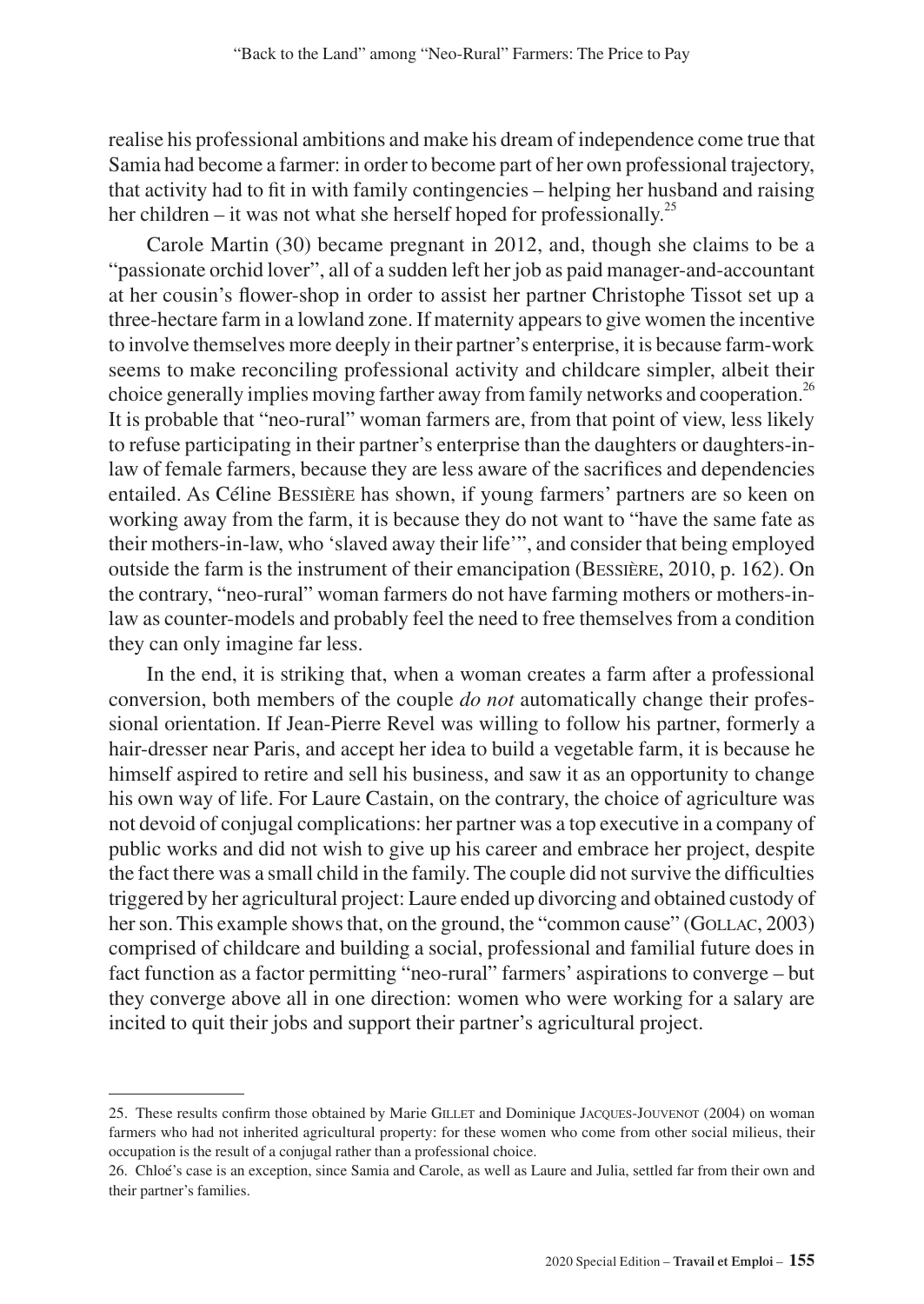realise his professional ambitions and make his dream of independence come true that Samia had become a farmer: in order to become part of her own professional trajectory, that activity had to fit in with family contingencies – helping her husband and raising her children – it was not what she herself hoped for professionally.<sup>25</sup>

Carole Martin (30) became pregnant in 2012, and, though she claims to be a "passionate orchid lover", all of a sudden left her job as paid manager-and-accountant at her cousin's flower-shop in order to assist her partner Christophe Tissot set up a three-hectare farm in a lowland zone. If maternity appears to give women the incentive to involve themselves more deeply in their partner's enterprise, it is because farm-work seems to make reconciling professional activity and childcare simpler, albeit their choice generally implies moving farther away from family networks and cooperation.<sup>26</sup> It is probable that "neo-rural" woman farmers are, from that point of view, less likely to refuse participating in their partner's enterprise than the daughters or daughters-inlaw of female farmers, because they are less aware of the sacrifices and dependencies entailed. As Céline Bessière has shown, if young farmers' partners are so keen on working away from the farm, it is because they do not want to "have the same fate as their mothers-in-law, who 'slaved away their life'", and consider that being employed outside the farm is the instrument of their emancipation (Bessière, 2010, p. 162). On the contrary, "neo-rural" woman farmers do not have farming mothers or mothers-inlaw as counter-models and probably feel the need to free themselves from a condition they can only imagine far less.

In the end, it is striking that, when a woman creates a farm after a professional conversion, both members of the couple *do not* automatically change their professional orientation. If Jean-Pierre Revel was willing to follow his partner, formerly a hair-dresser near Paris, and accept her idea to build a vegetable farm, it is because he himself aspired to retire and sell his business, and saw it as an opportunity to change his own way of life. For Laure Castain, on the contrary, the choice of agriculture was not devoid of conjugal complications: her partner was a top executive in a company of public works and did not wish to give up his career and embrace her project, despite the fact there was a small child in the family. The couple did not survive the difficulties triggered by her agricultural project: Laure ended up divorcing and obtained custody of her son. This example shows that, on the ground, the "common cause" (GOLLAC, 2003) comprised of childcare and building a social, professional and familial future does in fact function as a factor permitting "neo-rural" farmers' aspirations to converge – but they converge above all in one direction: women who were working for a salary are incited to quit their jobs and support their partner's agricultural project.

<sup>25.</sup> These results confirm those obtained by Marie GILLET and Dominique JACQUES-JOUVENOT (2004) on woman farmers who had not inherited agricultural property: for these women who come from other social milieus, their occupation is the result of a conjugal rather than a professional choice.

<sup>26.</sup> Chloé's case is an exception, since Samia and Carole, as well as Laure and Julia, settled far from their own and their partner's families.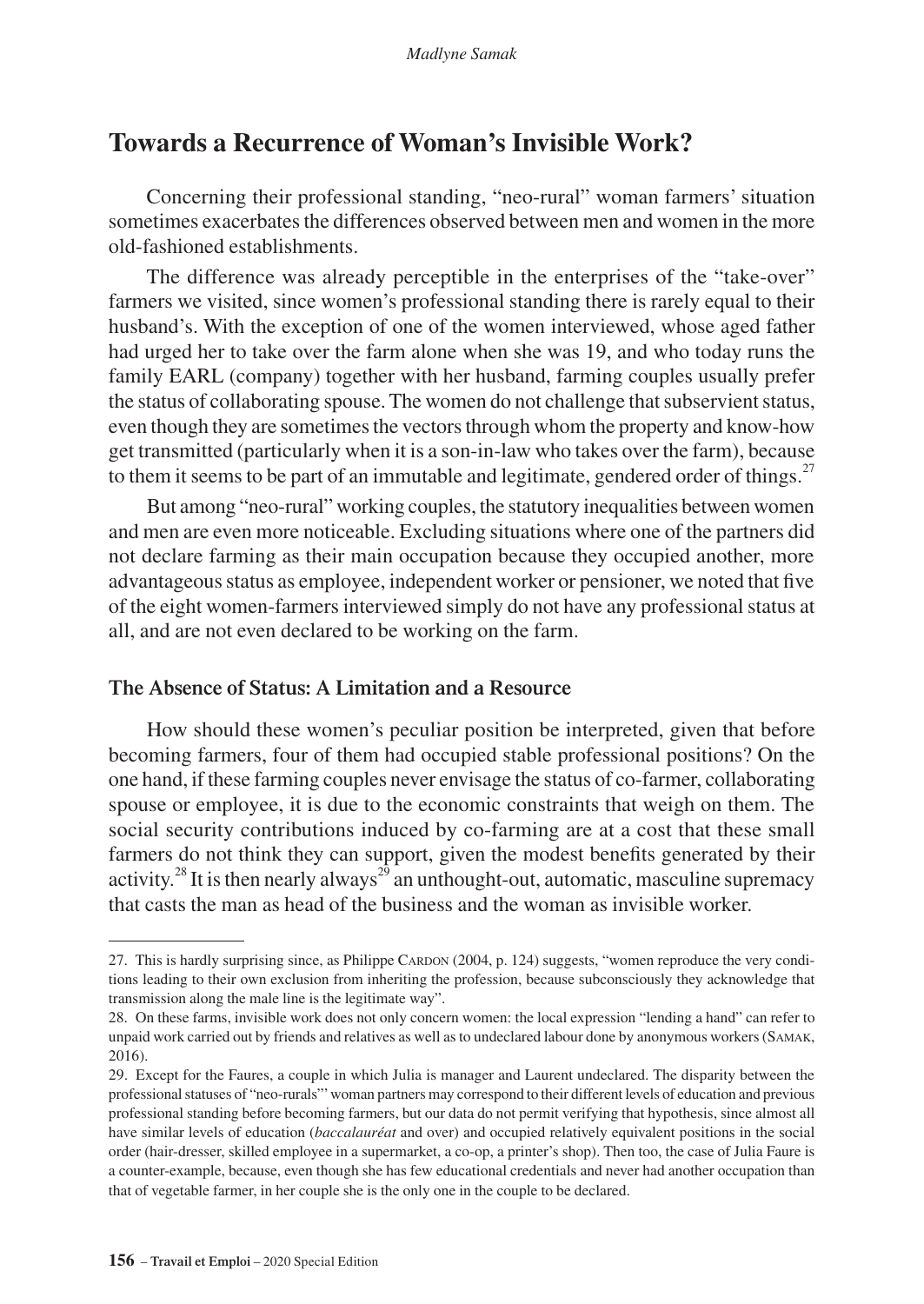# **Towards a Recurrence of Woman's Invisible Work?**

Concerning their professional standing, "neo-rural" woman farmers' situation sometimes exacerbates the differences observed between men and women in the more old-fashioned establishments.

The difference was already perceptible in the enterprises of the "take-over" farmers we visited, since women's professional standing there is rarely equal to their husband's. With the exception of one of the women interviewed, whose aged father had urged her to take over the farm alone when she was 19, and who today runs the family EARL (company) together with her husband, farming couples usually prefer the status of collaborating spouse. The women do not challenge that subservient status, even though they are sometimes the vectors through whom the property and know-how get transmitted (particularly when it is a son-in-law who takes over the farm), because to them it seems to be part of an immutable and legitimate, gendered order of things.<sup>27</sup>

But among "neo-rural" working couples, the statutory inequalities between women and men are even more noticeable. Excluding situations where one of the partners did not declare farming as their main occupation because they occupied another, more advantageous status as employee, independent worker or pensioner, we noted that five of the eight women-farmers interviewed simply do not have any professional status at all, and are not even declared to be working on the farm.

#### **The Absence of Status: A Limitation and a Resource**

How should these women's peculiar position be interpreted, given that before becoming farmers, four of them had occupied stable professional positions? On the one hand, if these farming couples never envisage the status of co-farmer, collaborating spouse or employee, it is due to the economic constraints that weigh on them. The social security contributions induced by co-farming are at a cost that these small farmers do not think they can support, given the modest benefits generated by their activity.<sup>28</sup> It is then nearly always<sup>29</sup> an unthought-out, automatic, masculine supremacy that casts the man as head of the business and the woman as invisible worker.

<sup>27.</sup> This is hardly surprising since, as Philippe CARDON (2004, p. 124) suggests, "women reproduce the very conditions leading to their own exclusion from inheriting the profession, because subconsciously they acknowledge that transmission along the male line is the legitimate way".

<sup>28.</sup> On these farms, invisible work does not only concern women: the local expression "lending a hand" can refer to unpaid work carried out by friends and relatives as well as to undeclared labour done by anonymous workers (Samak, 2016).

<sup>29.</sup> Except for the Faures, a couple in which Julia is manager and Laurent undeclared. The disparity between the professional statuses of "neo-rurals"' woman partners may correspond to their different levels of education and previous professional standing before becoming farmers, but our data do not permit verifying that hypothesis, since almost all have similar levels of education (*baccalauréat* and over) and occupied relatively equivalent positions in the social order (hair-dresser, skilled employee in a supermarket, a co-op, a printer's shop). Then too, the case of Julia Faure is a counter-example, because, even though she has few educational credentials and never had another occupation than that of vegetable farmer, in her couple she is the only one in the couple to be declared.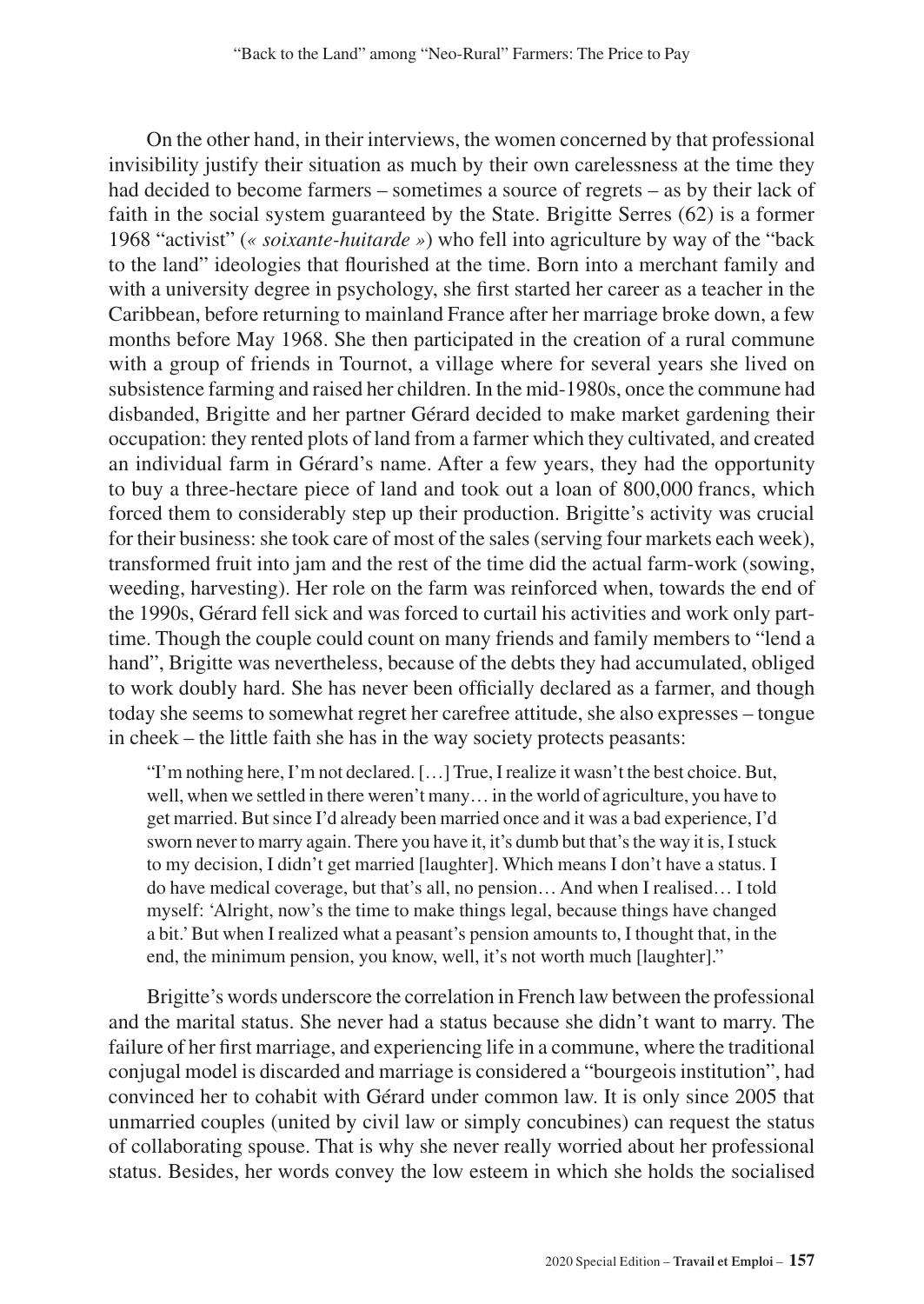On the other hand, in their interviews, the women concerned by that professional invisibility justify their situation as much by their own carelessness at the time they had decided to become farmers – sometimes a source of regrets – as by their lack of faith in the social system guaranteed by the State. Brigitte Serres (62) is a former 1968 "activist" (*« soixante-huitarde »*) who fell into agriculture by way of the "back to the land" ideologies that flourished at the time. Born into a merchant family and with a university degree in psychology, she first started her career as a teacher in the Caribbean, before returning to mainland France after her marriage broke down, a few months before May 1968. She then participated in the creation of a rural commune with a group of friends in Tournot, a village where for several years she lived on subsistence farming and raised her children. In the mid-1980s, once the commune had disbanded, Brigitte and her partner Gérard decided to make market gardening their occupation: they rented plots of land from a farmer which they cultivated, and created an individual farm in Gérard's name. After a few years, they had the opportunity to buy a three-hectare piece of land and took out a loan of 800,000 francs, which forced them to considerably step up their production. Brigitte's activity was crucial for their business: she took care of most of the sales (serving four markets each week), transformed fruit into jam and the rest of the time did the actual farm-work (sowing, weeding, harvesting). Her role on the farm was reinforced when, towards the end of the 1990s, Gérard fell sick and was forced to curtail his activities and work only parttime. Though the couple could count on many friends and family members to "lend a hand", Brigitte was nevertheless, because of the debts they had accumulated, obliged to work doubly hard. She has never been officially declared as a farmer, and though today she seems to somewhat regret her carefree attitude, she also expresses – tongue in cheek – the little faith she has in the way society protects peasants:

"I'm nothing here, I'm not declared. […] True, I realize it wasn't the best choice. But, well, when we settled in there weren't many… in the world of agriculture, you have to get married. But since I'd already been married once and it was a bad experience, I'd sworn never to marry again. There you have it, it's dumb but that's the way it is, I stuck to my decision, I didn't get married [laughter]. Which means I don't have a status. I do have medical coverage, but that's all, no pension… And when I realised… I told myself: 'Alright, now's the time to make things legal, because things have changed a bit.' But when I realized what a peasant's pension amounts to, I thought that, in the end, the minimum pension, you know, well, it's not worth much [laughter]."

Brigitte's words underscore the correlation in French law between the professional and the marital status. She never had a status because she didn't want to marry. The failure of her first marriage, and experiencing life in a commune, where the traditional conjugal model is discarded and marriage is considered a "bourgeois institution", had convinced her to cohabit with Gérard under common law. It is only since 2005 that unmarried couples (united by civil law or simply concubines) can request the status of collaborating spouse. That is why she never really worried about her professional status. Besides, her words convey the low esteem in which she holds the socialised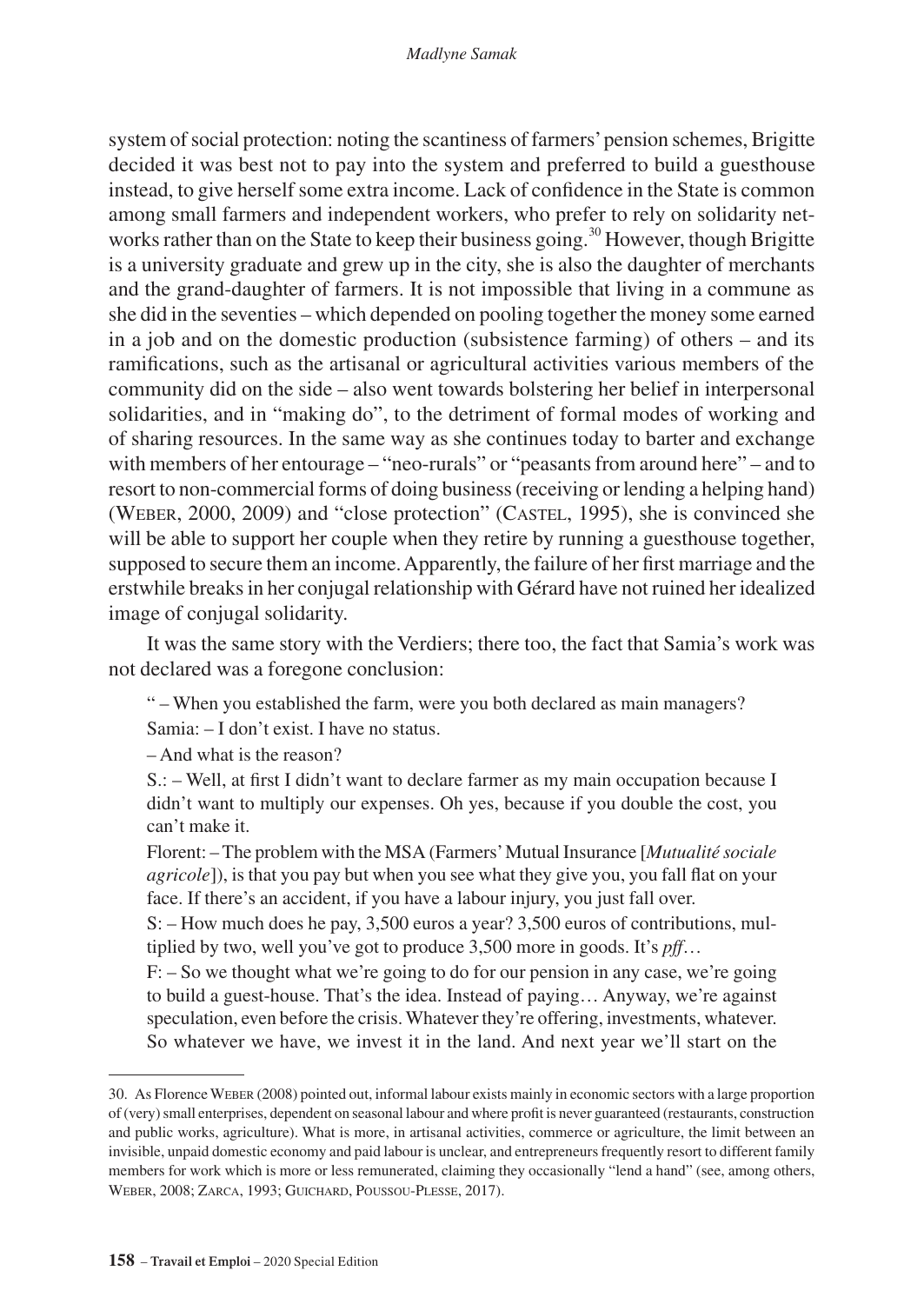system of social protection: noting the scantiness of farmers' pension schemes, Brigitte decided it was best not to pay into the system and preferred to build a guesthouse instead, to give herself some extra income. Lack of confidence in the State is common among small farmers and independent workers, who prefer to rely on solidarity networks rather than on the State to keep their business going.<sup>30</sup> However, though Brigitte is a university graduate and grew up in the city, she is also the daughter of merchants and the grand-daughter of farmers. It is not impossible that living in a commune as she did in the seventies – which depended on pooling together the money some earned in a job and on the domestic production (subsistence farming) of others – and its ramifications, such as the artisanal or agricultural activities various members of the community did on the side – also went towards bolstering her belief in interpersonal solidarities, and in "making do", to the detriment of formal modes of working and of sharing resources. In the same way as she continues today to barter and exchange with members of her entourage – "neo-rurals" or "peasants from around here" – and to resort to non-commercial forms of doing business (receiving or lending a helping hand) (Weber, 2000, 2009) and "close protection" (Castel, 1995), she is convinced she will be able to support her couple when they retire by running a guesthouse together, supposed to secure them an income. Apparently, the failure of her first marriage and the erstwhile breaks in her conjugal relationship with Gérard have not ruined her idealized image of conjugal solidarity.

It was the same story with the Verdiers; there too, the fact that Samia's work was not declared was a foregone conclusion:

" – When you established the farm, were you both declared as main managers?

Samia: – I don't exist. I have no status.

– And what is the reason?

S.: – Well, at first I didn't want to declare farmer as my main occupation because I didn't want to multiply our expenses. Oh yes, because if you double the cost, you can't make it.

Florent: – The problem with the MSA (Farmers' Mutual Insurance [*Mutualité sociale agricole*]), is that you pay but when you see what they give you, you fall flat on your face. If there's an accident, if you have a labour injury, you just fall over.

S: – How much does he pay, 3,500 euros a year? 3,500 euros of contributions, multiplied by two, well you've got to produce 3,500 more in goods. It's *pff*…

F: – So we thought what we're going to do for our pension in any case, we're going to build a guest-house. That's the idea. Instead of paying… Anyway, we're against speculation, even before the crisis. Whatever they're offering, investments, whatever. So whatever we have, we invest it in the land. And next year we'll start on the

<sup>30.</sup> As Florence Weber (2008) pointed out, informal labour exists mainly in economic sectors with a large proportion of (very) small enterprises, dependent on seasonal labour and where profit is never guaranteed (restaurants, construction and public works, agriculture). What is more, in artisanal activities, commerce or agriculture, the limit between an invisible, unpaid domestic economy and paid labour is unclear, and entrepreneurs frequently resort to different family members for work which is more or less remunerated, claiming they occasionally "lend a hand" (see, among others, Weber, 2008; Zarca, 1993; Guichard, Poussou-Plesse, 2017).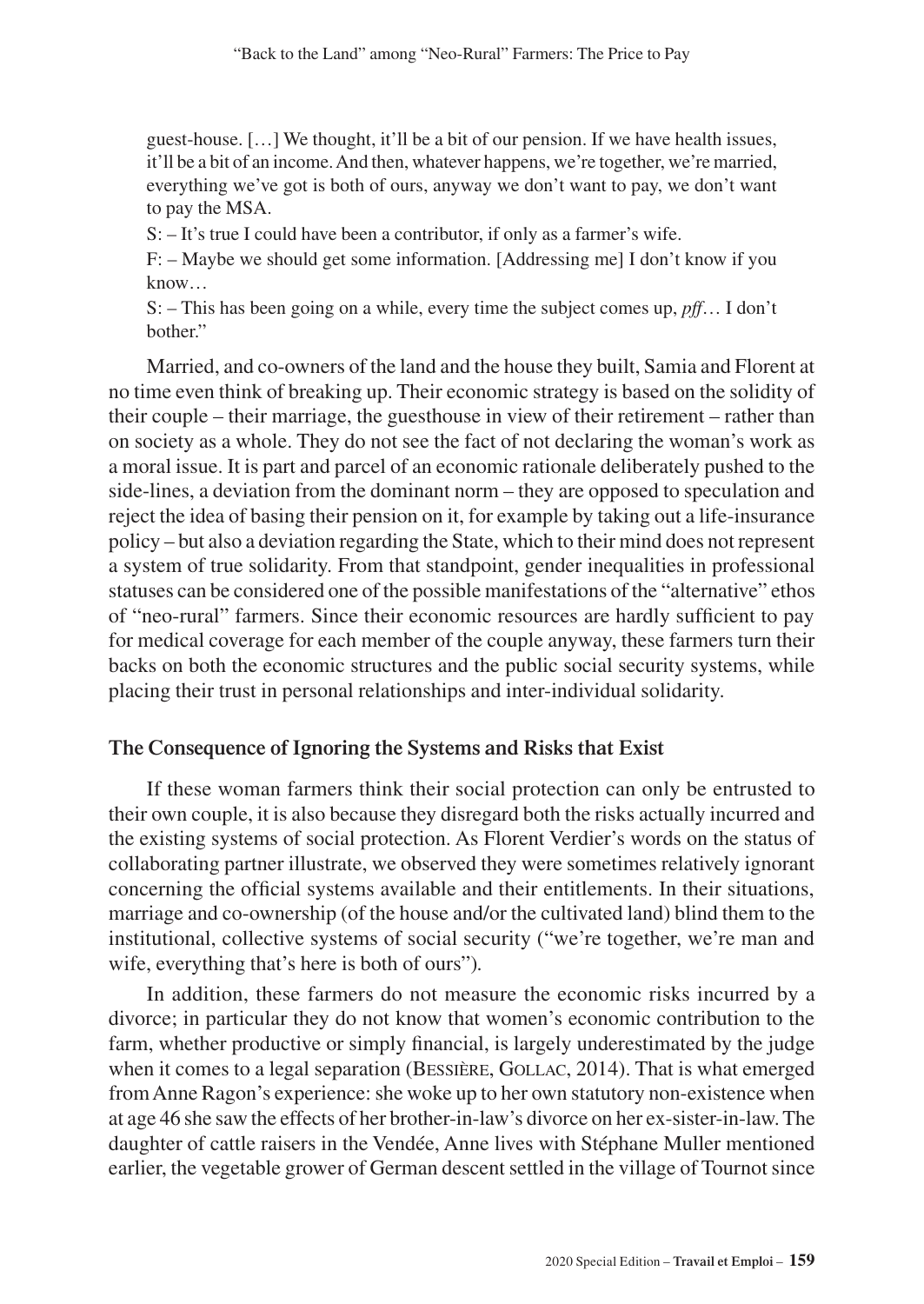guest-house. […] We thought, it'll be a bit of our pension. If we have health issues, it'll be a bit of an income. And then, whatever happens, we're together, we're married, everything we've got is both of ours, anyway we don't want to pay, we don't want to pay the MSA.

S: – It's true I could have been a contributor, if only as a farmer's wife.

F: – Maybe we should get some information. [Addressing me] I don't know if you know…

S: – This has been going on a while, every time the subject comes up, *pff*… I don't hother"

Married, and co-owners of the land and the house they built, Samia and Florent at no time even think of breaking up. Their economic strategy is based on the solidity of their couple – their marriage, the guesthouse in view of their retirement – rather than on society as a whole. They do not see the fact of not declaring the woman's work as a moral issue. It is part and parcel of an economic rationale deliberately pushed to the side-lines, a deviation from the dominant norm – they are opposed to speculation and reject the idea of basing their pension on it, for example by taking out a life-insurance policy – but also a deviation regarding the State, which to their mind does not represent a system of true solidarity. From that standpoint, gender inequalities in professional statuses can be considered one of the possible manifestations of the "alternative" ethos of "neo-rural" farmers. Since their economic resources are hardly sufficient to pay for medical coverage for each member of the couple anyway, these farmers turn their backs on both the economic structures and the public social security systems, while placing their trust in personal relationships and inter-individual solidarity.

### **The Consequence of Ignoring the Systems and Risks that Exist**

If these woman farmers think their social protection can only be entrusted to their own couple, it is also because they disregard both the risks actually incurred and the existing systems of social protection. As Florent Verdier's words on the status of collaborating partner illustrate, we observed they were sometimes relatively ignorant concerning the official systems available and their entitlements. In their situations, marriage and co-ownership (of the house and/or the cultivated land) blind them to the institutional, collective systems of social security ("we're together, we're man and wife, everything that's here is both of ours")*.*

In addition, these farmers do not measure the economic risks incurred by a divorce; in particular they do not know that women's economic contribution to the farm, whether productive or simply financial, is largely underestimated by the judge when it comes to a legal separation (BESSIÈRE, GOLLAC, 2014). That is what emerged from Anne Ragon's experience: she woke up to her own statutory non-existence when at age 46 she saw the effects of her brother-in-law's divorce on her ex-sister-in-law. The daughter of cattle raisers in the Vendée, Anne lives with Stéphane Muller mentioned earlier, the vegetable grower of German descent settled in the village of Tournot since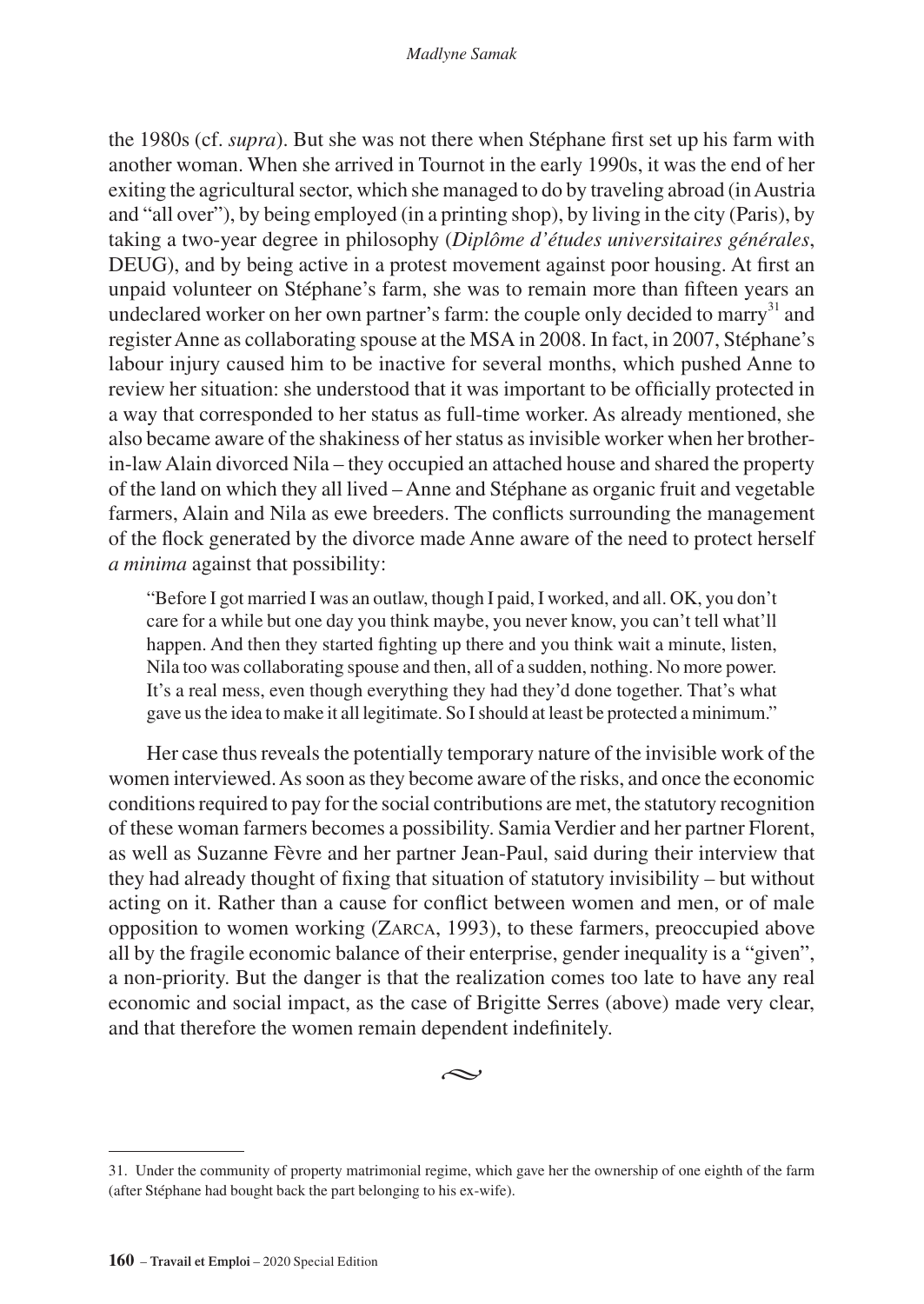the 1980s (cf. *supra*). But she was not there when Stéphane first set up his farm with another woman. When she arrived in Tournot in the early 1990s, it was the end of her exiting the agricultural sector, which she managed to do by traveling abroad (in Austria and "all over"), by being employed (in a printing shop), by living in the city (Paris), by taking a two-year degree in philosophy (*Diplôme d'études universitaires générales*, DEUG), and by being active in a protest movement against poor housing. At first an unpaid volunteer on Stéphane's farm, she was to remain more than fifteen years an undeclared worker on her own partner's farm: the couple only decided to marry $31$  and register Anne as collaborating spouse at the MSA in 2008. In fact, in 2007, Stéphane's labour injury caused him to be inactive for several months, which pushed Anne to review her situation: she understood that it was important to be officially protected in a way that corresponded to her status as full-time worker. As already mentioned, she also became aware of the shakiness of her status as invisible worker when her brotherin-law Alain divorced Nila – they occupied an attached house and shared the property of the land on which they all lived – Anne and Stéphane as organic fruit and vegetable farmers, Alain and Nila as ewe breeders. The conflicts surrounding the management of the flock generated by the divorce made Anne aware of the need to protect herself *a minima* against that possibility:

"Before I got married I was an outlaw, though I paid, I worked, and all. OK, you don't care for a while but one day you think maybe, you never know, you can't tell what'll happen. And then they started fighting up there and you think wait a minute, listen, Nila too was collaborating spouse and then, all of a sudden, nothing. No more power. It's a real mess, even though everything they had they'd done together. That's what gave us the idea to make it all legitimate. So I should at least be protected a minimum."

Her case thus reveals the potentially temporary nature of the invisible work of the women interviewed. As soon as they become aware of the risks, and once the economic conditions required to pay for the social contributions are met, the statutory recognition of these woman farmers becomes a possibility. Samia Verdier and her partner Florent, as well as Suzanne Fèvre and her partner Jean-Paul, said during their interview that they had already thought of fixing that situation of statutory invisibility – but without acting on it. Rather than a cause for conflict between women and men, or of male opposition to women working (Zarca, 1993), to these farmers, preoccupied above all by the fragile economic balance of their enterprise, gender inequality is a "given", a non-priority. But the danger is that the realization comes too late to have any real economic and social impact, as the case of Brigitte Serres (above) made very clear, and that therefore the women remain dependent indefinitely.

 $\sim$ 

<sup>31.</sup> Under the community of property matrimonial regime, which gave her the ownership of one eighth of the farm (after Stéphane had bought back the part belonging to his ex-wife).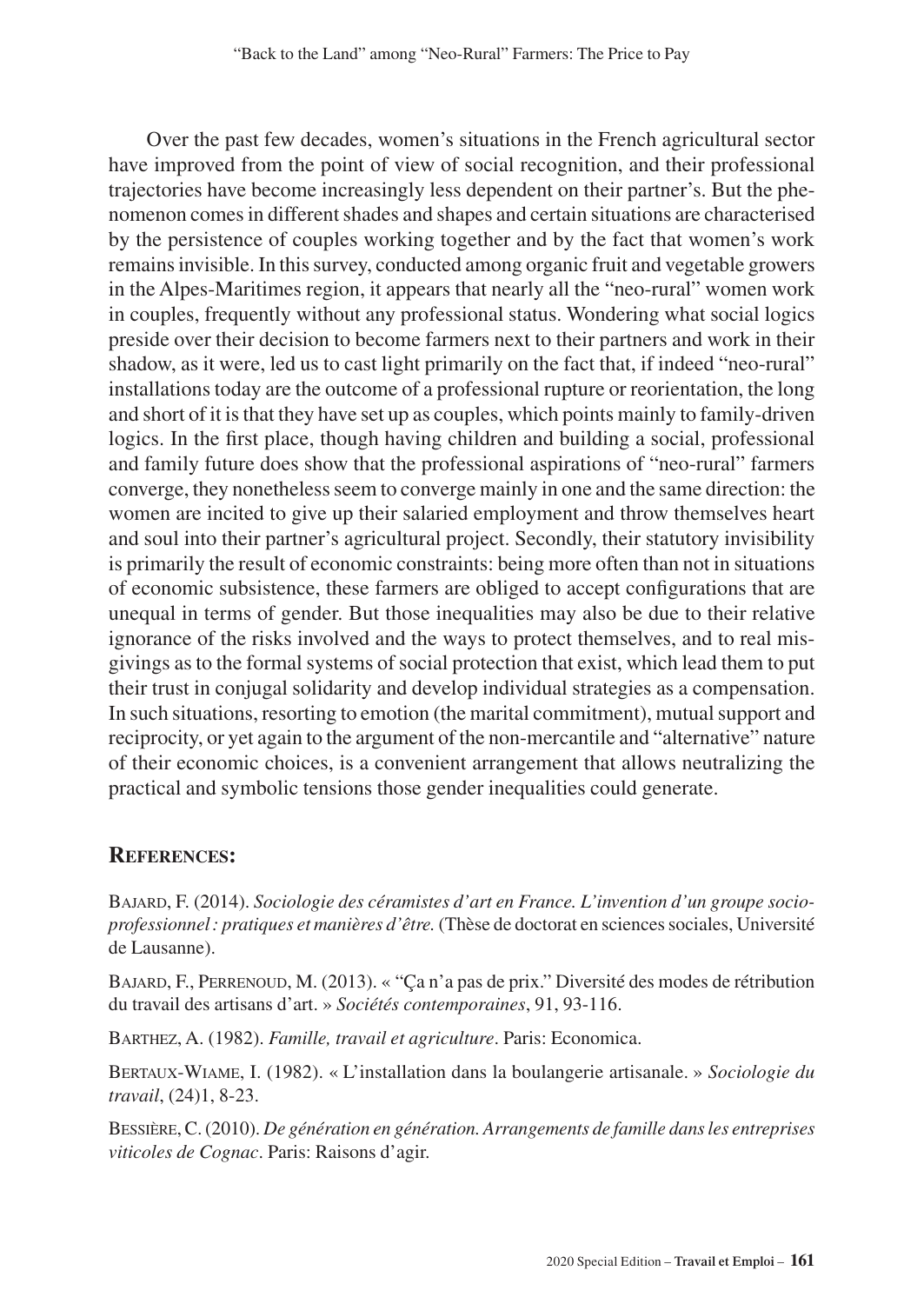Over the past few decades, women's situations in the French agricultural sector have improved from the point of view of social recognition, and their professional trajectories have become increasingly less dependent on their partner's. But the phenomenon comes in different shades and shapes and certain situations are characterised by the persistence of couples working together and by the fact that women's work remains invisible. In this survey, conducted among organic fruit and vegetable growers in the Alpes-Maritimes region, it appears that nearly all the "neo-rural" women work in couples, frequently without any professional status. Wondering what social logics preside over their decision to become farmers next to their partners and work in their shadow, as it were, led us to cast light primarily on the fact that, if indeed "neo-rural" installations today are the outcome of a professional rupture or reorientation, the long and short of it is that they have set up as couples, which points mainly to family-driven logics. In the first place, though having children and building a social, professional and family future does show that the professional aspirations of "neo-rural" farmers converge, they nonetheless seem to converge mainly in one and the same direction: the women are incited to give up their salaried employment and throw themselves heart and soul into their partner's agricultural project. Secondly, their statutory invisibility is primarily the result of economic constraints: being more often than not in situations of economic subsistence, these farmers are obliged to accept configurations that are unequal in terms of gender. But those inequalities may also be due to their relative ignorance of the risks involved and the ways to protect themselves, and to real misgivings as to the formal systems of social protection that exist, which lead them to put their trust in conjugal solidarity and develop individual strategies as a compensation. In such situations, resorting to emotion (the marital commitment), mutual support and reciprocity, or yet again to the argument of the non-mercantile and "alternative" nature of their economic choices, is a convenient arrangement that allows neutralizing the practical and symbolic tensions those gender inequalities could generate.

### **References:**

Bajard, F. (2014). *Sociologie des céramistes d'art en France. L'invention d'un groupe socioprofessionnel: pratiques et manières d'être.* (Thèse de doctorat en sciences sociales, Université de Lausanne).

Bajard, F., Perrenoud, M. (2013). « "Ça n'a pas de prix." Diversité des modes de rétribution du travail des artisans d'art. » *Sociétés contemporaines*, 91, 93-116.

Barthez, A. (1982). *Famille, travail et agriculture*. Paris: Economica.

Bertaux-Wiame, I. (1982). « L'installation dans la boulangerie artisanale. » *Sociologie du travail*, (24)1, 8-23.

Bessière, C. (2010). *De génération en génération. Arrangements de famille dans les entreprises viticoles de Cognac*. Paris: Raisons d'agir.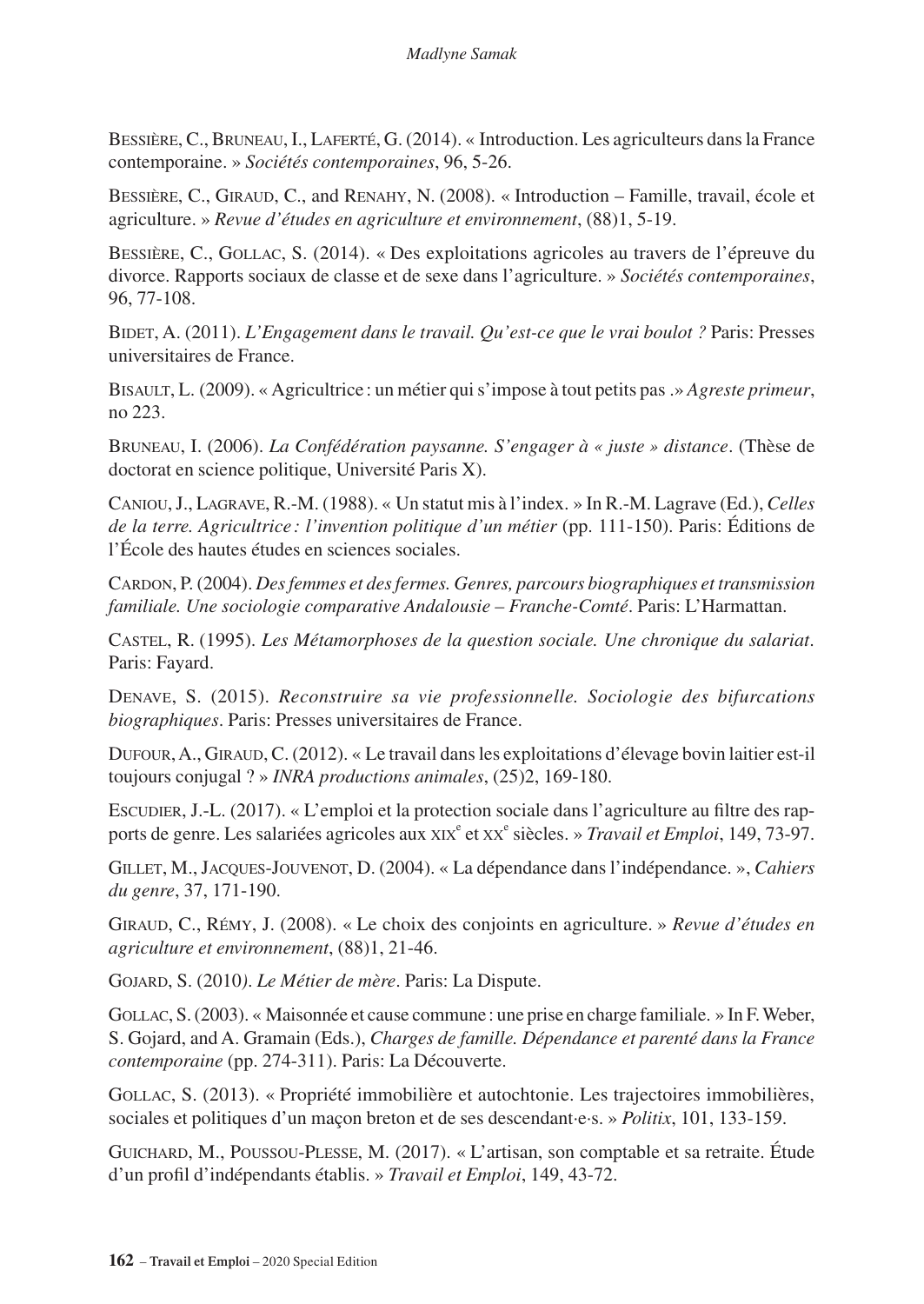Bessière, C., Bruneau, I., Laferté, G. (2014). « Introduction. Les agriculteurs dans la France contemporaine. » *Sociétés contemporaines*, 96, 5-26.

BESSIÈRE, C., GIRAUD, C., and RENAHY, N. (2008). « Introduction – Famille, travail, école et agriculture. » *Revue d'études en agriculture et environnement*, (88)1, 5-19.

Bessière, C., Gollac, S. (2014). « Des exploitations agricoles au travers de l'épreuve du divorce. Rapports sociaux de classe et de sexe dans l'agriculture. » *Sociétés contemporaines*, 96, 77-108.

Bidet, A. (2011). *L'Engagement dans le travail. Qu'est-ce que le vrai boulot ?* Paris: Presses universitaires de France.

Bisault, L. (2009). « Agricultrice : un métier qui s'impose à tout petits pas .» *Agreste primeur*, no 223.

Bruneau, I. (2006). *La Confédération paysanne. S'engager à « juste » distance*. (Thèse de doctorat en science politique, Université Paris X).

Caniou, J., Lagrave, R.-M. (1988). « Un statut mis à l'index. » In R.-M. Lagrave (Ed.), *Celles de la terre. Agricultrice : l'invention politique d'un métier* (pp. 111-150). Paris: Éditions de l'École des hautes études en sciences sociales.

Cardon, P. (2004). *Des femmes et des fermes. Genres, parcours biographiques et transmission familiale. Une sociologie comparative Andalousie – Franche-Comté*. Paris: L'Harmattan.

Castel, R. (1995). *Les Métamorphoses de la question sociale. Une chronique du salariat*. Paris: Fayard.

Denave, S. (2015). *Reconstruire sa vie professionnelle. Sociologie des bifurcations biographiques*. Paris: Presses universitaires de France.

Dufour, A., Giraud, C. (2012). « Le travail dans les exploitations d'élevage bovin laitier est-il toujours conjugal ? » *INRA productions animales*, (25)2, 169-180.

Escudier, J.-L. (2017). « L'emploi et la protection sociale dans l'agriculture au filtre des rapports de genre. Les salariées agricoles aux xix<sup>e</sup> et xx<sup>e</sup> siècles. » *Travail et Emploi*, 149, 73-97.

Gillet, M., Jacques-Jouvenot, D. (2004). « La dépendance dans l'indépendance. », *Cahiers du genre*, 37, 171-190.

Giraud, C., Rémy, J. (2008). « Le choix des conjoints en agriculture. » *Revue d'études en agriculture et environnement*, (88)1, 21-46.

Gojard, S. (2010*)*. *Le Métier de mère*. Paris: La Dispute.

Gollac, S. (2003). « Maisonnée et cause commune : une prise en charge familiale. » In F.Weber, S. Gojard, and A. Gramain (Eds.), *Charges de famille. Dépendance et parenté dans la France contemporaine* (pp. 274-311). Paris: La Découverte.

Gollac, S. (2013). « Propriété immobilière et autochtonie. Les trajectoires immobilières, sociales et politiques d'un maçon breton et de ses descendant·e·s. » *Politix*, 101, 133-159.

Guichard, M., Poussou-Plesse, M. (2017). « L'artisan, son comptable et sa retraite. Étude d'un profil d'indépendants établis. » *Travail et Emploi*, 149, 43-72.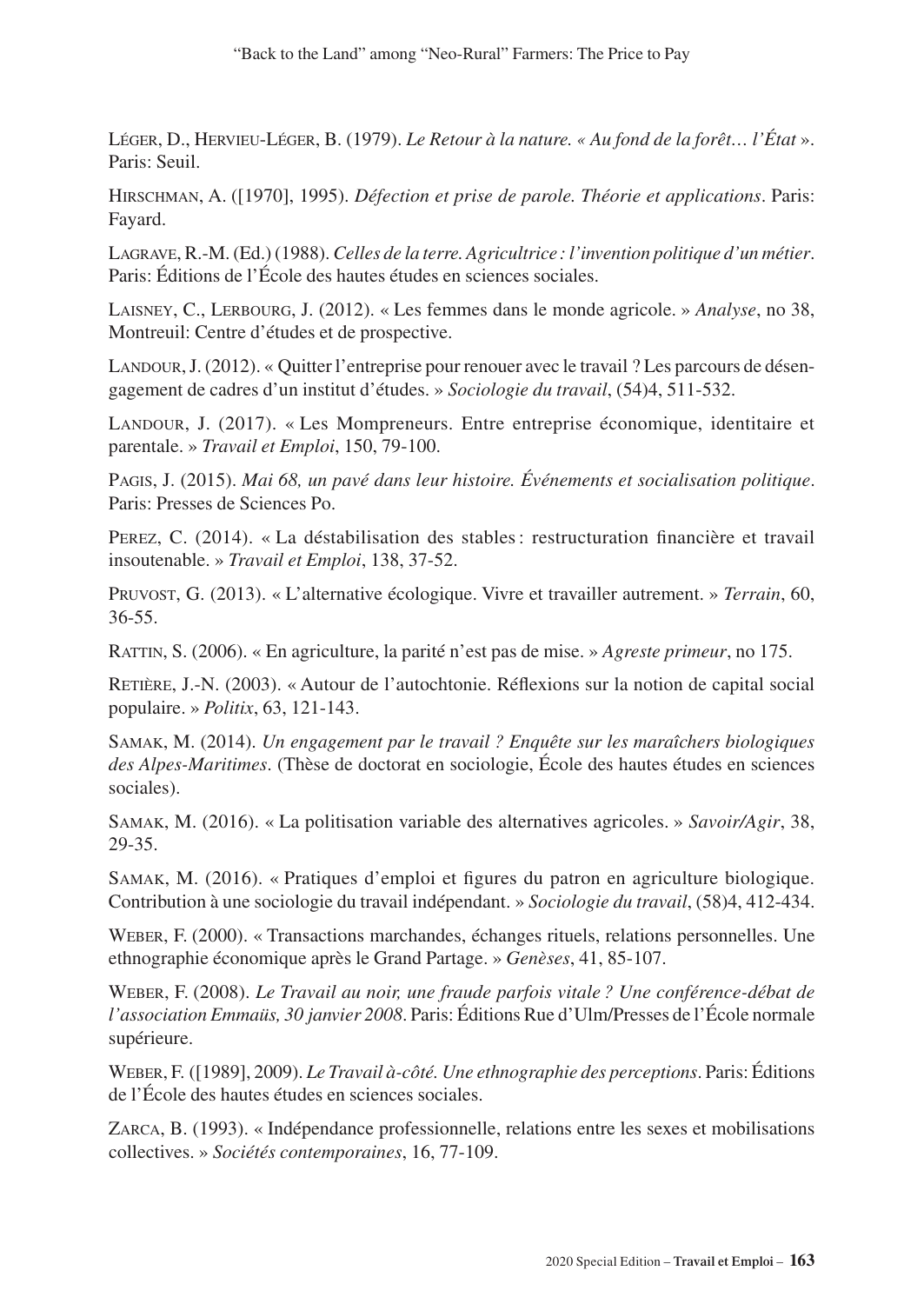Léger, D., Hervieu-Léger, B. (1979). *Le Retour à la nature. « Au fond de la forêt… l'État* ». Paris: Seuil.

Hirschman, A. ([1970], 1995). *Défection et prise de parole. Théorie et applications*. Paris: Fayard.

Lagrave, R.-M. (Ed.) (1988). *Celles de la terre. Agricultrice: l'invention politique d'un métier*. Paris: Éditions de l'École des hautes études en sciences sociales.

Laisney, C., Lerbourg, J. (2012). « Les femmes dans le monde agricole. » *Analyse*, no 38, Montreuil: Centre d'études et de prospective.

LANDOUR, J. (2012). « Quitter l'entreprise pour renouer avec le travail ? Les parcours de désengagement de cadres d'un institut d'études. » *Sociologie du travail*, (54)4, 511-532.

LANDOUR, J. (2017). « Les Mompreneurs. Entre entreprise économique, identitaire et parentale. » *Travail et Emploi*, 150, 79-100.

Pagis, J. (2015). *Mai 68, un pavé dans leur histoire. Événements et socialisation politique*. Paris: Presses de Sciences Po.

Perez, C. (2014). « La déstabilisation des stables: restructuration financière et travail insoutenable. » *Travail et Emploi*, 138, 37-52.

Pruvost, G. (2013). « L'alternative écologique. Vivre et travailler autrement. » *Terrain*, 60, 36-55.

Rattin, S. (2006). « En agriculture, la parité n'est pas de mise. » *Agreste primeur*, no 175.

Retière, J.-N. (2003). « Autour de l'autochtonie. Réflexions sur la notion de capital social populaire. » *Politix*, 63, 121-143.

Samak, M. (2014). *Un engagement par le travail ? Enquête sur les maraîchers biologiques des Alpes-Maritimes*. (Thèse de doctorat en sociologie, École des hautes études en sciences sociales).

Samak, M. (2016). « La politisation variable des alternatives agricoles. » *Savoir/Agir*, 38, 29-35.

Samak, M. (2016). « Pratiques d'emploi et figures du patron en agriculture biologique. Contribution à une sociologie du travail indépendant. » *Sociologie du travail*, (58)4, 412-434.

Weber, F. (2000). « Transactions marchandes, échanges rituels, relations personnelles. Une ethnographie économique après le Grand Partage. » *Genèses*, 41, 85-107.

Weber, F. (2008). *Le Travail au noir, une fraude parfois vitale ? Une conférence-débat de l'association Emmaüs, 30 janvier 2008*. Paris: Éditions Rue d'Ulm/Presses de l'École normale supérieure.

Weber, F. ([1989], 2009). *Le Travail à-côté. Une ethnographie des perceptions*. Paris: Éditions de l'École des hautes études en sciences sociales.

Zarca, B. (1993). « Indépendance professionnelle, relations entre les sexes et mobilisations collectives. » *Sociétés contemporaines*, 16, 77-109.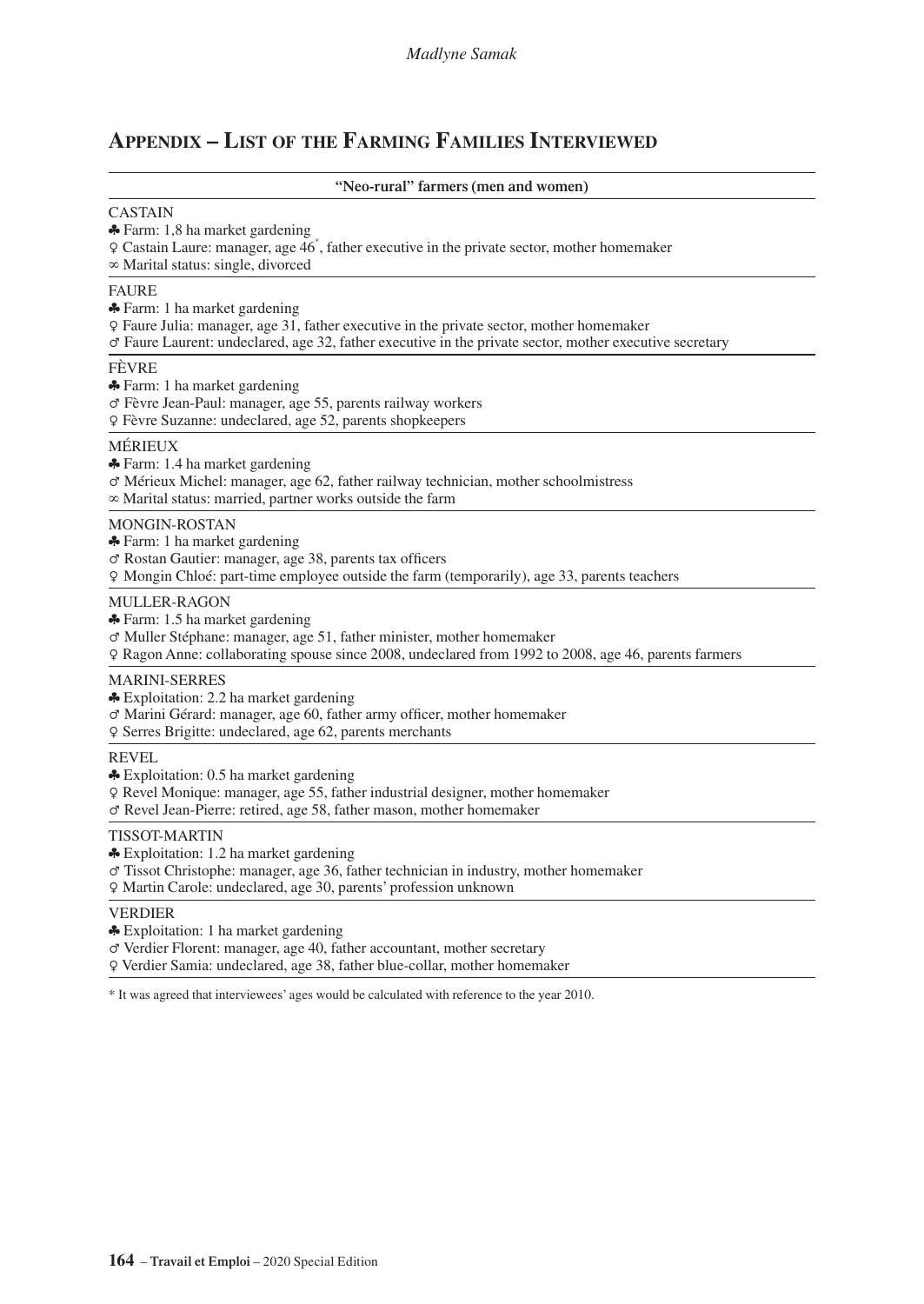# **Appendix – List of the Farming Families Interviewed**

| "Neo-rural" farmers (men and women)                                                                                                                                                                                                                                   |
|-----------------------------------------------------------------------------------------------------------------------------------------------------------------------------------------------------------------------------------------------------------------------|
| <b>CASTAIN</b><br>$\clubsuit$ Farm: 1,8 ha market gardening<br>Q Castain Laure: manager, age 46 <sup>*</sup> , father executive in the private sector, mother homemaker<br>∞ Marital status: single, divorced                                                         |
| <b>FAURE</b><br>$\clubsuit$ Farm: 1 ha market gardening<br>Q Faure Julia: manager, age 31, father executive in the private sector, mother homemaker<br>$\sigma$ Faure Laurent: undeclared, age 32, father executive in the private sector, mother executive secretary |
| <b>FEVRE</b><br>♣ Farm: 1 ha market gardening<br>o Fèvre Jean-Paul: manager, age 55, parents railway workers<br>Q Fèvre Suzanne: undeclared, age 52, parents shopkeepers                                                                                              |
| <b>MÉRIEUX</b><br>$\clubsuit$ Farm: 1.4 ha market gardening<br>$\sigma$ Mérieux Michel: manager, age 62, father railway technician, mother schoolmistress<br>$\infty$ Marital status: married, partner works outside the farm                                         |
| <b>MONGIN-ROSTAN</b><br>♣ Farm: 1 ha market gardening<br>& Rostan Gautier: manager, age 38, parents tax officers<br>9 Mongin Chloé: part-time employee outside the farm (temporarily), age 33, parents teachers                                                       |
| <b>MULLER-RAGON</b><br>$\bullet$ Farm: 1.5 ha market gardening<br>& Muller Stéphane: manager, age 51, father minister, mother homemaker<br>Q Ragon Anne: collaborating spouse since 2008, undeclared from 1992 to 2008, age 46, parents farmers                       |
| <b>MARINI-SERRES</b><br>$\clubsuit$ Exploitation: 2.2 ha market gardening<br>& Marini Gérard: manager, age 60, father army officer, mother homemaker<br>Q Serres Brigitte: undeclared, age 62, parents merchants                                                      |
| <b>REVEL</b><br>$\clubsuit$ Exploitation: 0.5 ha market gardening<br>9 Revel Monique: manager, age 55, father industrial designer, mother homemaker<br>The Revel Jean-Pierre: retired, age 58, father mason, mother homemaker                                         |
| <b>TISSOT-MARTIN</b><br>$\clubsuit$ Exploitation: 1.2 ha market gardening<br>$\sigma$ Tissot Christophe: manager, age 36, father technician in industry, mother homemaker<br>9 Martin Carole: undeclared, age 30, parents' profession unknown                         |
| <b>VERDIER</b><br>$\clubsuit$ Exploitation: 1 ha market gardening<br>o' Verdier Florent: manager, age 40, father accountant, mother secretary<br>Q Verdier Samia: undeclared, age 38, father blue-collar, mother homemaker                                            |

\* It was agreed that interviewees' ages would be calculated with reference to the year 2010.